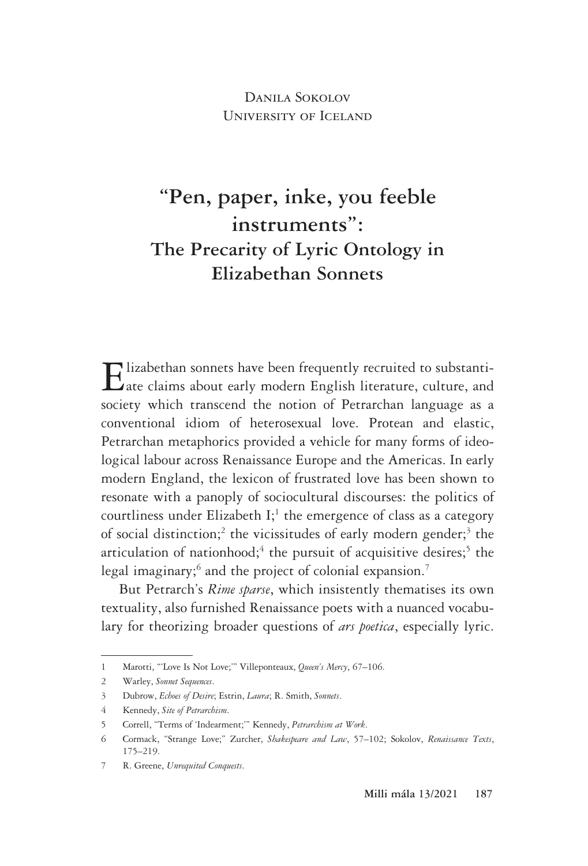Danila Sokolov University of Iceland

# **"Pen, paper, inke, you feeble instruments": The Precarity of Lyric Ontology in Elizabethan Sonnets**

Elizabethan sonnets have been frequently recruited to substanti- $\mathbf L$ ate claims about early modern English literature, culture, and society which transcend the notion of Petrarchan language as a conventional idiom of heterosexual love. Protean and elastic, Petrarchan metaphorics provided a vehicle for many forms of ideological labour across Renaissance Europe and the Americas. In early modern England, the lexicon of frustrated love has been shown to resonate with a panoply of sociocultural discourses: the politics of courtliness under Elizabeth I;<sup>1</sup> the emergence of class as a category of social distinction;<sup>2</sup> the vicissitudes of early modern gender;<sup>3</sup> the articulation of nationhood;<sup>4</sup> the pursuit of acquisitive desires;<sup>5</sup> the legal imaginary;<sup>6</sup> and the project of colonial expansion.<sup>7</sup>

But Petrarch's *Rime sparse*, which insistently thematises its own textuality, also furnished Renaissance poets with a nuanced vocabulary for theorizing broader questions of *ars poetica*, especially lyric.

<sup>1</sup> Marotti, "'Love Is Not Love;'" Villeponteaux, *Queen's Mercy*, 67–106.

<sup>2</sup> Warley, *Sonnet Sequences*.

<sup>3</sup> Dubrow, *Echoes of Desire*; Estrin, *Laura*; R. Smith, *Sonnets*.

<sup>4</sup> Kennedy, *Site of Petrarchism*.

<sup>5</sup> Correll, "Terms of 'Indearment;'" Kennedy, *Petrarchism at Work*.

<sup>6</sup> Cormack, "Strange Love;" Zurcher, *Shakespeare and Law*, 57–102; Sokolov, *Renaissance Texts*, 175–219.

<sup>7</sup> R. Greene, *Unrequited Conquests*.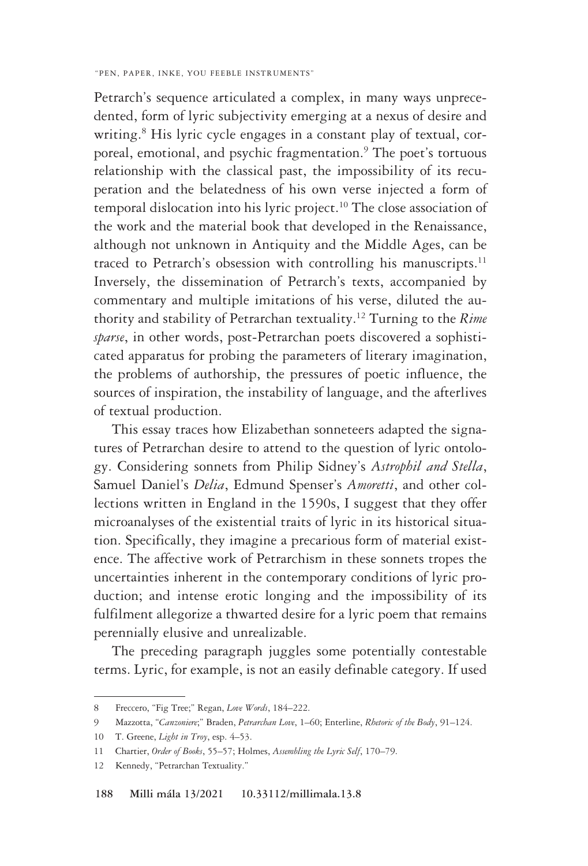Petrarch's sequence articulated a complex, in many ways unprecedented, form of lyric subjectivity emerging at a nexus of desire and writing.8 His lyric cycle engages in a constant play of textual, corporeal, emotional, and psychic fragmentation.<sup>9</sup> The poet's tortuous relationship with the classical past, the impossibility of its recuperation and the belatedness of his own verse injected a form of temporal dislocation into his lyric project.<sup>10</sup> The close association of the work and the material book that developed in the Renaissance, although not unknown in Antiquity and the Middle Ages, can be traced to Petrarch's obsession with controlling his manuscripts.<sup>11</sup> Inversely, the dissemination of Petrarch's texts, accompanied by commentary and multiple imitations of his verse, diluted the authority and stability of Petrarchan textuality.12 Turning to the *Rime sparse*, in other words, post-Petrarchan poets discovered a sophisticated apparatus for probing the parameters of literary imagination, the problems of authorship, the pressures of poetic influence, the sources of inspiration, the instability of language, and the afterlives of textual production.

This essay traces how Elizabethan sonneteers adapted the signatures of Petrarchan desire to attend to the question of lyric ontology. Considering sonnets from Philip Sidney's *Astrophil and Stella*, Samuel Daniel's *Delia*, Edmund Spenser's *Amoretti*, and other collections written in England in the 1590s, I suggest that they offer microanalyses of the existential traits of lyric in its historical situation. Specifically, they imagine a precarious form of material existence. The affective work of Petrarchism in these sonnets tropes the uncertainties inherent in the contemporary conditions of lyric production; and intense erotic longing and the impossibility of its fulfilment allegorize a thwarted desire for a lyric poem that remains perennially elusive and unrealizable.

The preceding paragraph juggles some potentially contestable terms. Lyric, for example, is not an easily definable category. If used

<sup>8</sup> Freccero, "Fig Tree;" Regan, *Love Words*, 184–222.

<sup>9</sup> Mazzotta, "*Canzoniere*;" Braden, *Petrarchan Love*, 1–60; Enterline, *Rhetoric of the Body*, 91–124.

<sup>10</sup> T. Greene, *Light in Troy*, esp. 4–53.

<sup>11</sup> Chartier, *Order of Books*, 55–57; Holmes, *Assembling the Lyric Self*, 170–79.

<sup>12</sup> Kennedy, "Petrarchan Textuality."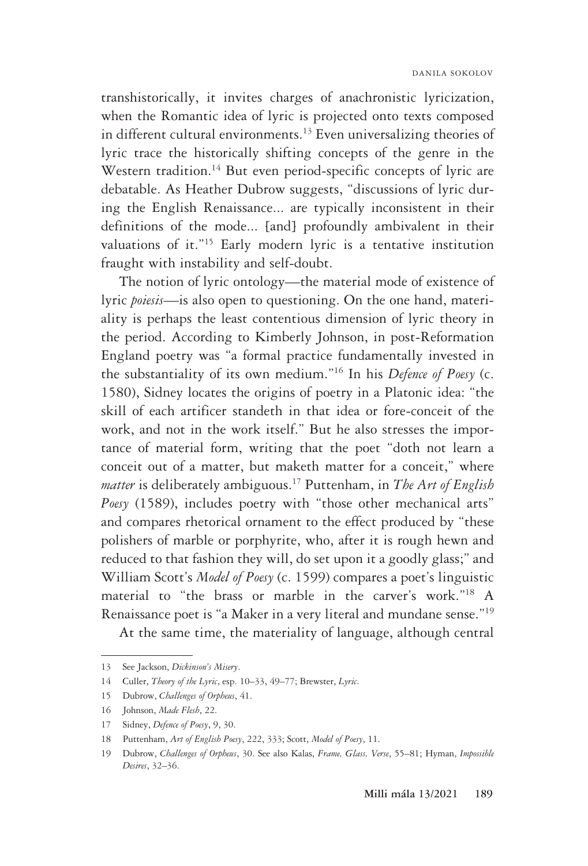transhistorically, it invites charges of anachronistic lyricization, when the Romantic idea of lyric is projected onto texts composed in different cultural environments.<sup>13</sup> Even universalizing theories of lyric trace the historically shifting concepts of the genre in the Western tradition.<sup>14</sup> But even period-specific concepts of lyric are debatable. As Heather Dubrow suggests, "discussions of lyric during the English Renaissance... are typically inconsistent in their definitions of the mode... [and] profoundly ambivalent in their valuations of it."15 Early modern lyric is a tentative institution fraught with instability and self-doubt.

The notion of lyric ontology—the material mode of existence of lyric *poiesis*—is also open to questioning. On the one hand, materiality is perhaps the least contentious dimension of lyric theory in the period. According to Kimberly Johnson, in post-Reformation England poetry was "a formal practice fundamentally invested in the substantiality of its own medium."16 In his *Defence of Poesy* (c. 1580), Sidney locates the origins of poetry in a Platonic idea: "the skill of each artificer standeth in that idea or fore-conceit of the work, and not in the work itself." But he also stresses the importance of material form, writing that the poet "doth not learn a conceit out of a matter, but maketh matter for a conceit," where *matter* is deliberately ambiguous.17 Puttenham, in *The Art of English Poesy* (1589), includes poetry with "those other mechanical arts" and compares rhetorical ornament to the effect produced by "these polishers of marble or porphyrite, who, after it is rough hewn and reduced to that fashion they will, do set upon it a goodly glass;" and William Scott's *Model of Poesy* (c. 1599) compares a poet's linguistic material to "the brass or marble in the carver's work."18 A Renaissance poet is "a Maker in a very literal and mundane sense."19

At the same time, the materiality of language, although central

<sup>13</sup> See Jackson, *Dickinson's Misery*.

<sup>14</sup> Culler, *Theory of the Lyric*, esp. 10–33, 49–77; Brewster, *Lyric*.

<sup>15</sup> Dubrow, *Challenges of Orpheus*, 41.

<sup>16</sup> Johnson, *Made Flesh*, 22.

<sup>17</sup> Sidney, *Defence of Poesy*, 9, 30.

<sup>18</sup> Puttenham, *Art of English Poesy*, 222, 333; Scott, *Model of Poesy*, 11.

<sup>19</sup> Dubrow, *Challenges of Orpheus*, 30. See also Kalas, *Frame, Glass, Verse*, 55–81; Hyman, *Impossible Desires*, 32–36.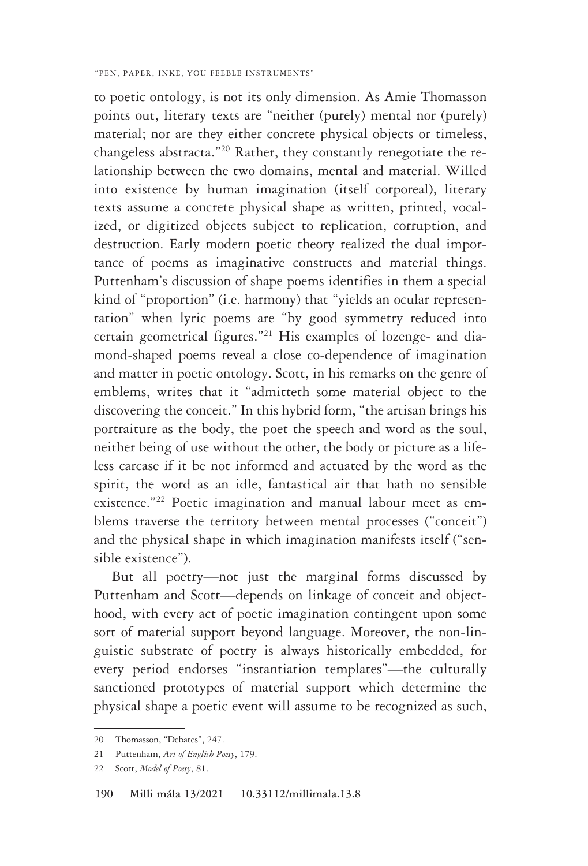to poetic ontology, is not its only dimension. As Amie Thomasson points out, literary texts are "neither (purely) mental nor (purely) material; nor are they either concrete physical objects or timeless, changeless abstracta."20 Rather, they constantly renegotiate the relationship between the two domains, mental and material. Willed into existence by human imagination (itself corporeal), literary texts assume a concrete physical shape as written, printed, vocalized, or digitized objects subject to replication, corruption, and destruction. Early modern poetic theory realized the dual importance of poems as imaginative constructs and material things. Puttenham's discussion of shape poems identifies in them a special kind of "proportion" (i.e. harmony) that "yields an ocular representation" when lyric poems are "by good symmetry reduced into certain geometrical figures."21 His examples of lozenge- and diamond-shaped poems reveal a close co-dependence of imagination and matter in poetic ontology. Scott, in his remarks on the genre of emblems, writes that it "admitteth some material object to the discovering the conceit." In this hybrid form, "the artisan brings his portraiture as the body, the poet the speech and word as the soul, neither being of use without the other, the body or picture as a lifeless carcase if it be not informed and actuated by the word as the spirit, the word as an idle, fantastical air that hath no sensible existence."22 Poetic imagination and manual labour meet as emblems traverse the territory between mental processes ("conceit") and the physical shape in which imagination manifests itself ("sensible existence").

But all poetry—not just the marginal forms discussed by Puttenham and Scott—depends on linkage of conceit and objecthood, with every act of poetic imagination contingent upon some sort of material support beyond language. Moreover, the non-linguistic substrate of poetry is always historically embedded, for every period endorses "instantiation templates"—the culturally sanctioned prototypes of material support which determine the physical shape a poetic event will assume to be recognized as such,

<sup>20</sup> Thomasson, "Debates", 247.

<sup>21</sup> Puttenham, *Art of English Poesy*, 179.

<sup>22</sup> Scott, *Model of Poesy*, 81.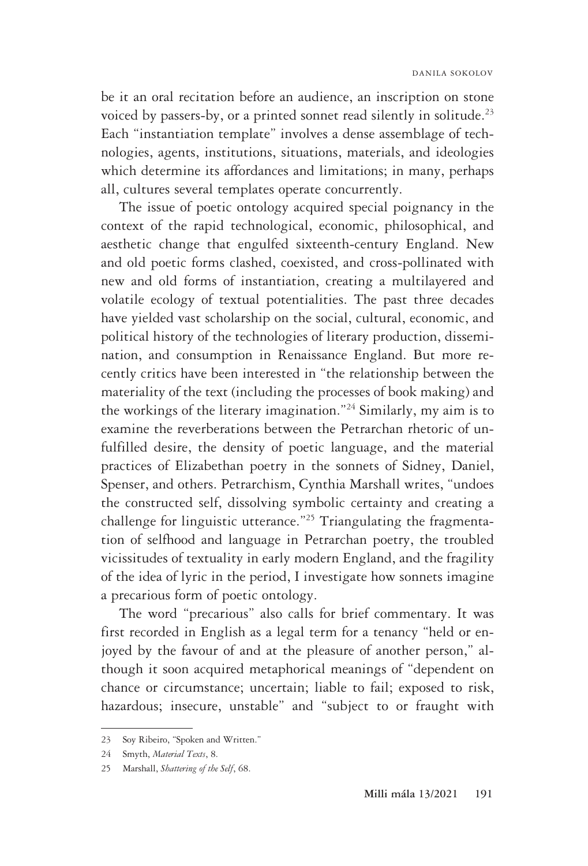be it an oral recitation before an audience, an inscription on stone voiced by passers-by, or a printed sonnet read silently in solitude.<sup>23</sup> Each "instantiation template" involves a dense assemblage of technologies, agents, institutions, situations, materials, and ideologies which determine its affordances and limitations; in many, perhaps all, cultures several templates operate concurrently.

The issue of poetic ontology acquired special poignancy in the context of the rapid technological, economic, philosophical, and aesthetic change that engulfed sixteenth-century England. New and old poetic forms clashed, coexisted, and cross-pollinated with new and old forms of instantiation, creating a multilayered and volatile ecology of textual potentialities. The past three decades have yielded vast scholarship on the social, cultural, economic, and political history of the technologies of literary production, dissemination, and consumption in Renaissance England. But more recently critics have been interested in "the relationship between the materiality of the text (including the processes of book making) and the workings of the literary imagination."24 Similarly, my aim is to examine the reverberations between the Petrarchan rhetoric of unfulfilled desire, the density of poetic language, and the material practices of Elizabethan poetry in the sonnets of Sidney, Daniel, Spenser, and others. Petrarchism, Cynthia Marshall writes, "undoes the constructed self, dissolving symbolic certainty and creating a challenge for linguistic utterance."25 Triangulating the fragmentation of selfhood and language in Petrarchan poetry, the troubled vicissitudes of textuality in early modern England, and the fragility of the idea of lyric in the period, I investigate how sonnets imagine a precarious form of poetic ontology.

The word "precarious" also calls for brief commentary. It was first recorded in English as a legal term for a tenancy "held or enjoyed by the favour of and at the pleasure of another person," although it soon acquired metaphorical meanings of "dependent on chance or circumstance; uncertain; liable to fail; exposed to risk, hazardous; insecure, unstable" and "subject to or fraught with

<sup>23</sup> Soy Ribeiro, "Spoken and Written."

<sup>24</sup> Smyth, *Material Texts*, 8.

<sup>25</sup> Marshall, *Shattering of the Self*, 68.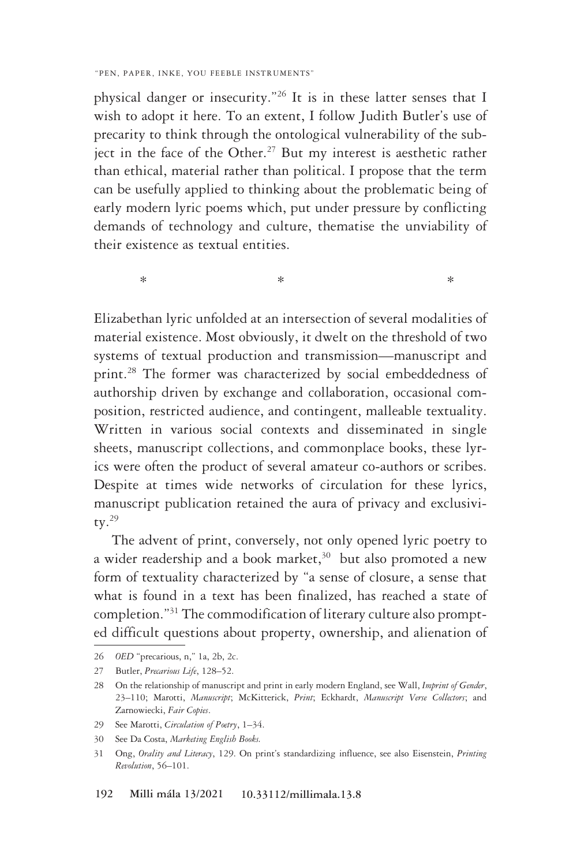physical danger or insecurity."26 It is in these latter senses that I wish to adopt it here. To an extent, I follow Judith Butler's use of precarity to think through the ontological vulnerability of the subject in the face of the Other.<sup>27</sup> But my interest is aesthetic rather than ethical, material rather than political. I propose that the term can be usefully applied to thinking about the problematic being of early modern lyric poems which, put under pressure by conflicting demands of technology and culture, thematise the unviability of their existence as textual entities.

 $*$   $*$ 

Elizabethan lyric unfolded at an intersection of several modalities of material existence. Most obviously, it dwelt on the threshold of two systems of textual production and transmission—manuscript and print.28 The former was characterized by social embeddedness of authorship driven by exchange and collaboration, occasional composition, restricted audience, and contingent, malleable textuality. Written in various social contexts and disseminated in single sheets, manuscript collections, and commonplace books, these lyrics were often the product of several amateur co-authors or scribes. Despite at times wide networks of circulation for these lyrics, manuscript publication retained the aura of privacy and exclusivitv. $29$ 

The advent of print, conversely, not only opened lyric poetry to a wider readership and a book market, $30$  but also promoted a new form of textuality characterized by "a sense of closure, a sense that what is found in a text has been finalized, has reached a state of completion."31 The commodification of literary culture also prompted difficult questions about property, ownership, and alienation of

<sup>26</sup> *OED* "precarious, n," 1a, 2b, 2c.

<sup>27</sup> Butler, *Precarious Life*, 128–52.

<sup>28</sup> On the relationship of manuscript and print in early modern England, see Wall, *Imprint of Gender*, 23–110; Marotti, *Manuscript*; McKitterick, *Print*; Eckhardt, *Manuscript Verse Collectors*; and Zarnowiecki, *Fair Copies*.

<sup>29</sup> See Marotti, *Circulation of Poetry*, 1–34.

<sup>30</sup> See Da Costa, *Marketing English Books.*

<sup>31</sup> Ong, *Orality and Literacy*, 129. On print's standardizing influence, see also Eisenstein, *Printing Revolution*, 56–101.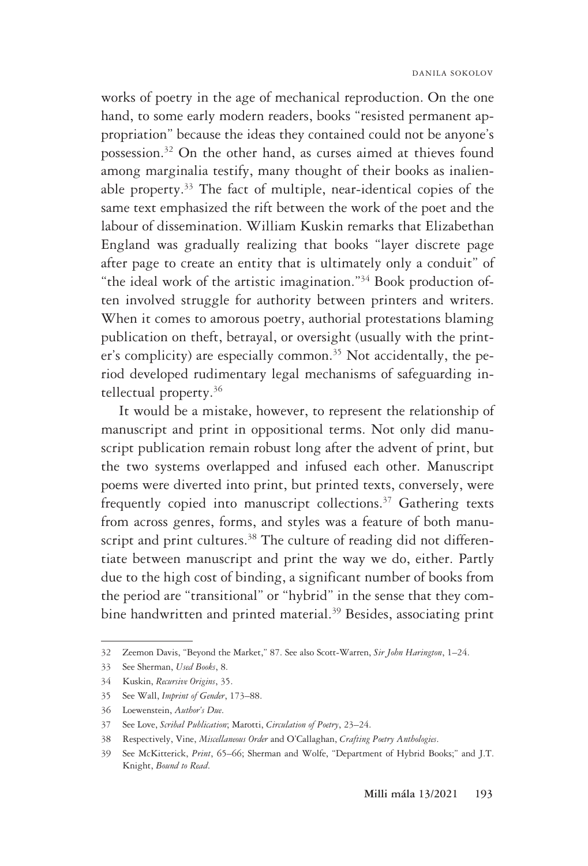works of poetry in the age of mechanical reproduction. On the one hand, to some early modern readers, books "resisted permanent appropriation" because the ideas they contained could not be anyone's possession.32 On the other hand, as curses aimed at thieves found among marginalia testify, many thought of their books as inalienable property.33 The fact of multiple, near-identical copies of the same text emphasized the rift between the work of the poet and the labour of dissemination. William Kuskin remarks that Elizabethan England was gradually realizing that books "layer discrete page after page to create an entity that is ultimately only a conduit" of "the ideal work of the artistic imagination."34 Book production often involved struggle for authority between printers and writers. When it comes to amorous poetry, authorial protestations blaming publication on theft, betrayal, or oversight (usually with the printer's complicity) are especially common.<sup>35</sup> Not accidentally, the period developed rudimentary legal mechanisms of safeguarding intellectual property.36

It would be a mistake, however, to represent the relationship of manuscript and print in oppositional terms. Not only did manuscript publication remain robust long after the advent of print, but the two systems overlapped and infused each other. Manuscript poems were diverted into print, but printed texts, conversely, were frequently copied into manuscript collections.<sup>37</sup> Gathering texts from across genres, forms, and styles was a feature of both manuscript and print cultures.<sup>38</sup> The culture of reading did not differentiate between manuscript and print the way we do, either. Partly due to the high cost of binding, a significant number of books from the period are "transitional" or "hybrid" in the sense that they combine handwritten and printed material.<sup>39</sup> Besides, associating print

<sup>32</sup> Zeemon Davis, "Beyond the Market," 87. See also Scott-Warren, *Sir John Harington*, 1–24.

<sup>33</sup> See Sherman, *Used Books*, 8.

<sup>34</sup> Kuskin, *Recursive Origins*, 35.

<sup>35</sup> See Wall, *Imprint of Gender*, 173–88.

<sup>36</sup> Loewenstein, *Author's Due*.

<sup>37</sup> See Love, *Scribal Publication*; Marotti, *Circulation of Poetry*, 23–24.

<sup>38</sup> Respectively, Vine, *Miscellaneous Order* and O'Callaghan, *Crafting Poetry Anthologies*.

<sup>39</sup> See McKitterick, *Print*, 65–66; Sherman and Wolfe, "Department of Hybrid Books;" and J.T. Knight, *Bound to Read*.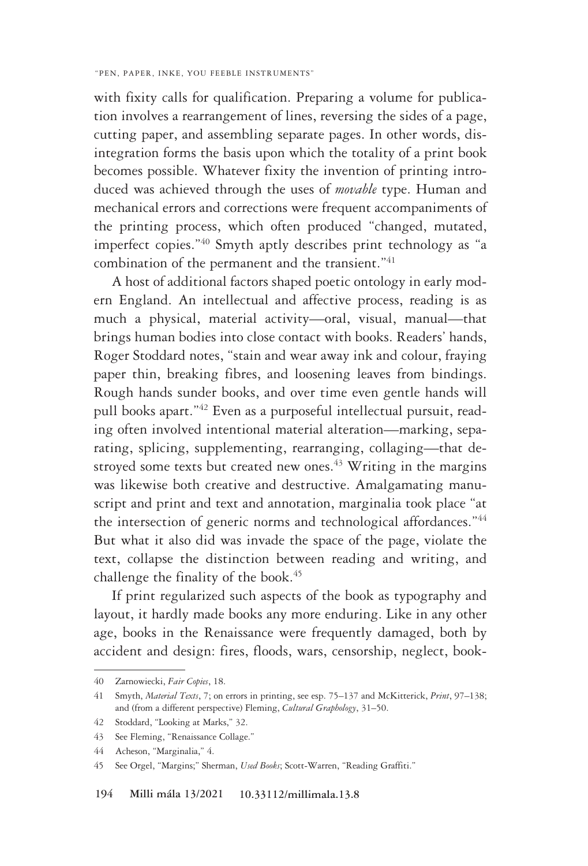with fixity calls for qualification. Preparing a volume for publication involves a rearrangement of lines, reversing the sides of a page, cutting paper, and assembling separate pages. In other words, disintegration forms the basis upon which the totality of a print book becomes possible. Whatever fixity the invention of printing introduced was achieved through the uses of *movable* type. Human and mechanical errors and corrections were frequent accompaniments of the printing process, which often produced "changed, mutated, imperfect copies."40 Smyth aptly describes print technology as "a combination of the permanent and the transient."<sup>41</sup>

A host of additional factors shaped poetic ontology in early modern England. An intellectual and affective process, reading is as much a physical, material activity—oral, visual, manual—that brings human bodies into close contact with books. Readers' hands, Roger Stoddard notes, "stain and wear away ink and colour, fraying paper thin, breaking fibres, and loosening leaves from bindings. Rough hands sunder books, and over time even gentle hands will pull books apart."42 Even as a purposeful intellectual pursuit, reading often involved intentional material alteration—marking, separating, splicing, supplementing, rearranging, collaging—that destroyed some texts but created new ones. $43$  Writing in the margins was likewise both creative and destructive. Amalgamating manuscript and print and text and annotation, marginalia took place "at the intersection of generic norms and technological affordances."<sup>44</sup> But what it also did was invade the space of the page, violate the text, collapse the distinction between reading and writing, and challenge the finality of the book.<sup>45</sup>

If print regularized such aspects of the book as typography and layout, it hardly made books any more enduring. Like in any other age, books in the Renaissance were frequently damaged, both by accident and design: fires, floods, wars, censorship, neglect, book-

<sup>40</sup> Zarnowiecki, *Fair Copies*, 18.

<sup>41</sup> Smyth, *Material Texts*, 7; on errors in printing, see esp. 75–137 and McKitterick, *Print*, 97–138; and (from a different perspective) Fleming, *Cultural Graphology*, 31–50.

<sup>42</sup> Stoddard, "Looking at Marks," 32.

<sup>43</sup> See Fleming, "Renaissance Collage."

<sup>44</sup> Acheson, "Marginalia," 4.

<sup>45</sup> See Orgel, "Margins;" Sherman, *Used Books*; Scott-Warren, "Reading Graffiti."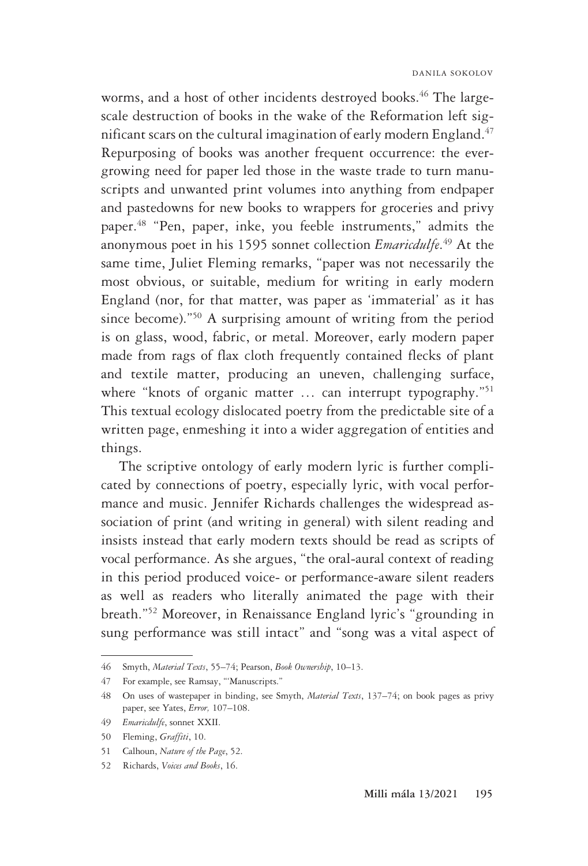worms, and a host of other incidents destroyed books.<sup>46</sup> The largescale destruction of books in the wake of the Reformation left significant scars on the cultural imagination of early modern England.<sup>47</sup> Repurposing of books was another frequent occurrence: the evergrowing need for paper led those in the waste trade to turn manuscripts and unwanted print volumes into anything from endpaper and pastedowns for new books to wrappers for groceries and privy paper.48 "Pen, paper, inke, you feeble instruments," admits the anonymous poet in his 1595 sonnet collection *Emaricdulfe*. 49 At the same time, Juliet Fleming remarks, "paper was not necessarily the most obvious, or suitable, medium for writing in early modern England (nor, for that matter, was paper as 'immaterial' as it has since become)."50 A surprising amount of writing from the period is on glass, wood, fabric, or metal. Moreover, early modern paper made from rags of flax cloth frequently contained flecks of plant and textile matter, producing an uneven, challenging surface, where "knots of organic matter ... can interrupt typography."<sup>51</sup> This textual ecology dislocated poetry from the predictable site of a written page, enmeshing it into a wider aggregation of entities and things.

The scriptive ontology of early modern lyric is further complicated by connections of poetry, especially lyric, with vocal performance and music. Jennifer Richards challenges the widespread association of print (and writing in general) with silent reading and insists instead that early modern texts should be read as scripts of vocal performance. As she argues, "the oral-aural context of reading in this period produced voice- or performance-aware silent readers as well as readers who literally animated the page with their breath."52 Moreover, in Renaissance England lyric's "grounding in sung performance was still intact" and "song was a vital aspect of

<sup>46</sup> Smyth, *Material Texts*, 55–74; Pearson, *Book Ownership*, 10–13.

<sup>47</sup> For example, see Ramsay, "'Manuscripts."

<sup>48</sup> On uses of wastepaper in binding, see Smyth, *Material Texts*, 137–74; on book pages as privy paper, see Yates, *Error,* 107–108.

<sup>49</sup> *Emaricdulfe*, sonnet XXII.

<sup>50</sup> Fleming, *Graffiti*, 10.

<sup>51</sup> Calhoun, *Nature of the Page*, 52.

<sup>52</sup> Richards, *Voices and Books*, 16.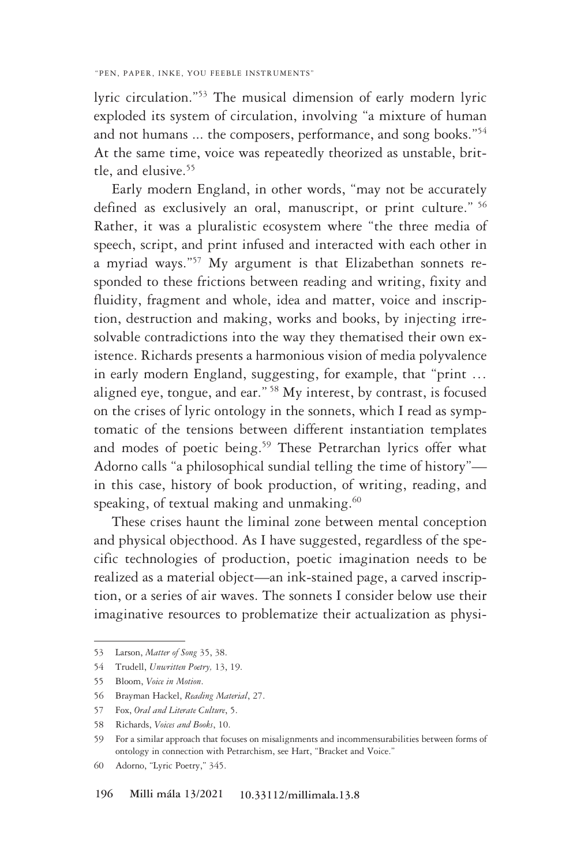lyric circulation."53 The musical dimension of early modern lyric exploded its system of circulation, involving "a mixture of human and not humans ... the composers, performance, and song books."<sup>54</sup> At the same time, voice was repeatedly theorized as unstable, brittle, and elusive.55

Early modern England, in other words, "may not be accurately defined as exclusively an oral, manuscript, or print culture." <sup>56</sup> Rather, it was a pluralistic ecosystem where "the three media of speech, script, and print infused and interacted with each other in a myriad ways."57 My argument is that Elizabethan sonnets responded to these frictions between reading and writing, fixity and fluidity, fragment and whole, idea and matter, voice and inscription, destruction and making, works and books, by injecting irresolvable contradictions into the way they thematised their own existence. Richards presents a harmonious vision of media polyvalence in early modern England, suggesting, for example, that "print … aligned eye, tongue, and ear." 58 My interest, by contrast, is focused on the crises of lyric ontology in the sonnets, which I read as symptomatic of the tensions between different instantiation templates and modes of poetic being.<sup>59</sup> These Petrarchan lyrics offer what Adorno calls "a philosophical sundial telling the time of history" in this case, history of book production, of writing, reading, and speaking, of textual making and unmaking.<sup>60</sup>

These crises haunt the liminal zone between mental conception and physical objecthood. As I have suggested, regardless of the specific technologies of production, poetic imagination needs to be realized as a material object—an ink-stained page, a carved inscription, or a series of air waves. The sonnets I consider below use their imaginative resources to problematize their actualization as physi-

<sup>53</sup> Larson, *Matter of Song* 35, 38.

<sup>54</sup> Trudell, *Unwritten Poetry,* 13, 19.

<sup>55</sup> Bloom, *Voice in Motion*.

<sup>56</sup> Brayman Hackel, *Reading Material*, 27.

<sup>57</sup> Fox, *Oral and Literate Culture*, 5.

<sup>58</sup> Richards, *Voices and Books*, 10.

<sup>59</sup> For a similar approach that focuses on misalignments and incommensurabilities between forms of ontology in connection with Petrarchism, see Hart, "Bracket and Voice."

<sup>60</sup> Adorno, "Lyric Poetry," 345.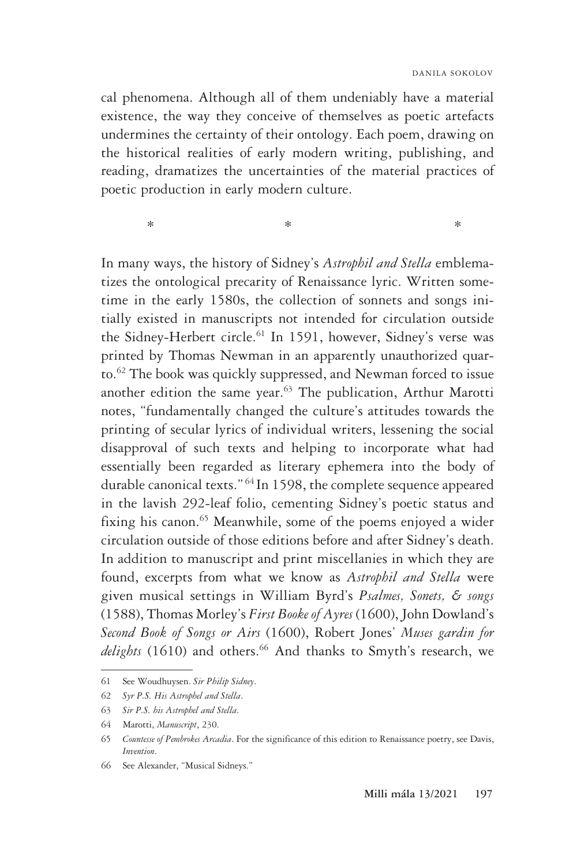cal phenomena. Although all of them undeniably have a material existence, the way they conceive of themselves as poetic artefacts undermines the certainty of their ontology. Each poem, drawing on the historical realities of early modern writing, publishing, and reading, dramatizes the uncertainties of the material practices of poetic production in early modern culture.

 $*$  \*  $*$ 

In many ways, the history of Sidney's *Astrophil and Stella* emblematizes the ontological precarity of Renaissance lyric. Written sometime in the early 1580s, the collection of sonnets and songs initially existed in manuscripts not intended for circulation outside the Sidney-Herbert circle.<sup>61</sup> In 1591, however, Sidney's verse was printed by Thomas Newman in an apparently unauthorized quarto.62 The book was quickly suppressed, and Newman forced to issue another edition the same year.<sup>63</sup> The publication, Arthur Marotti notes, "fundamentally changed the culture's attitudes towards the printing of secular lyrics of individual writers, lessening the social disapproval of such texts and helping to incorporate what had essentially been regarded as literary ephemera into the body of durable canonical texts." <sup>64</sup> In 1598, the complete sequence appeared in the lavish 292-leaf folio, cementing Sidney's poetic status and fixing his canon.<sup>65</sup> Meanwhile, some of the poems enjoyed a wider circulation outside of those editions before and after Sidney's death. In addition to manuscript and print miscellanies in which they are found, excerpts from what we know as *Astrophil and Stella* were given musical settings in William Byrd's *Psalmes, Sonets, & songs* (1588), Thomas Morley's *First Booke of Ayres* (1600), John Dowland's *Second Book of Songs or Airs* (1600), Robert Jones' *Muses gardin for delights* (1610) and others.<sup>66</sup> And thanks to Smyth's research, we

<sup>61</sup> See Woudhuysen. *Sir Philip Sidney*.

<sup>62</sup> *Syr P.S. His Astrophel and Stella*.

<sup>63</sup> *Sir P.S. his Astrophel and Stella*.

<sup>64</sup> Marotti, *Manuscript*, 230.

<sup>65</sup> *Countesse of Pembrokes Arcadia*. For the significance of this edition to Renaissance poetry, see Davis, *Invention*.

<sup>66</sup> See Alexander, "Musical Sidneys."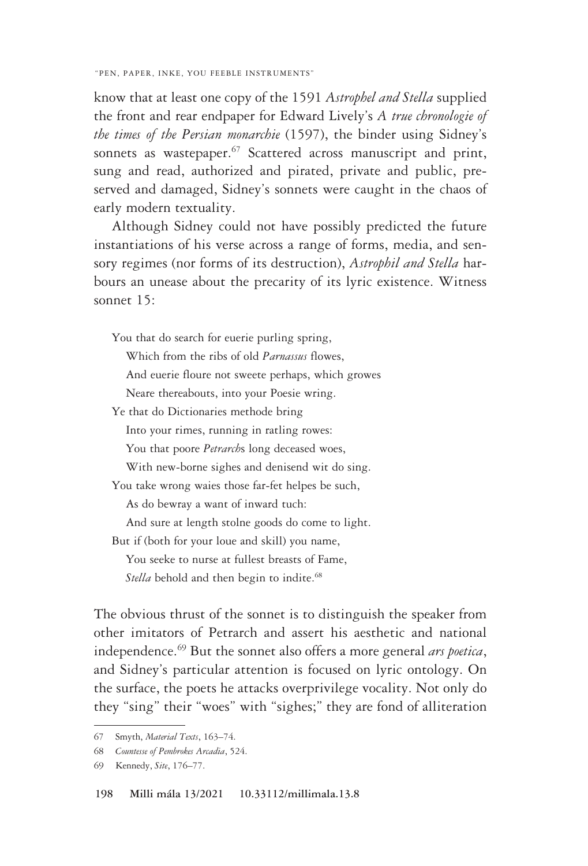know that at least one copy of the 1591 *Astrophel and Stella* supplied the front and rear endpaper for Edward Lively's *A true chronologie of the times of the Persian monarchie* (1597), the binder using Sidney's sonnets as wastepaper.<sup>67</sup> Scattered across manuscript and print, sung and read, authorized and pirated, private and public, preserved and damaged, Sidney's sonnets were caught in the chaos of early modern textuality.

Although Sidney could not have possibly predicted the future instantiations of his verse across a range of forms, media, and sensory regimes (nor forms of its destruction), *Astrophil and Stella* harbours an unease about the precarity of its lyric existence. Witness sonnet 15:

You that do search for euerie purling spring,

Which from the ribs of old *Parnassus* flowes,

And euerie floure not sweete perhaps, which growes

Neare thereabouts, into your Poesie wring.

Ye that do Dictionaries methode bring

Into your rimes, running in ratling rowes:

You that poore *Petrarch*s long deceased woes,

With new-borne sighes and denisend wit do sing.

You take wrong waies those far-fet helpes be such,

As do bewray a want of inward tuch:

And sure at length stolne goods do come to light.

But if (both for your loue and skill) you name,

You seeke to nurse at fullest breasts of Fame,

Stella behold and then begin to indite.<sup>68</sup>

The obvious thrust of the sonnet is to distinguish the speaker from other imitators of Petrarch and assert his aesthetic and national independence.69 But the sonnet also offers a more general *ars poetica*, and Sidney's particular attention is focused on lyric ontology. On the surface, the poets he attacks overprivilege vocality. Not only do they "sing" their "woes" with "sighes;" they are fond of alliteration

<sup>67</sup> Smyth, *Material Texts*, 163–74.

<sup>68</sup> *Countesse of Pembrokes Arcadia*, 524.

<sup>69</sup> Kennedy, *Site*, 176–77.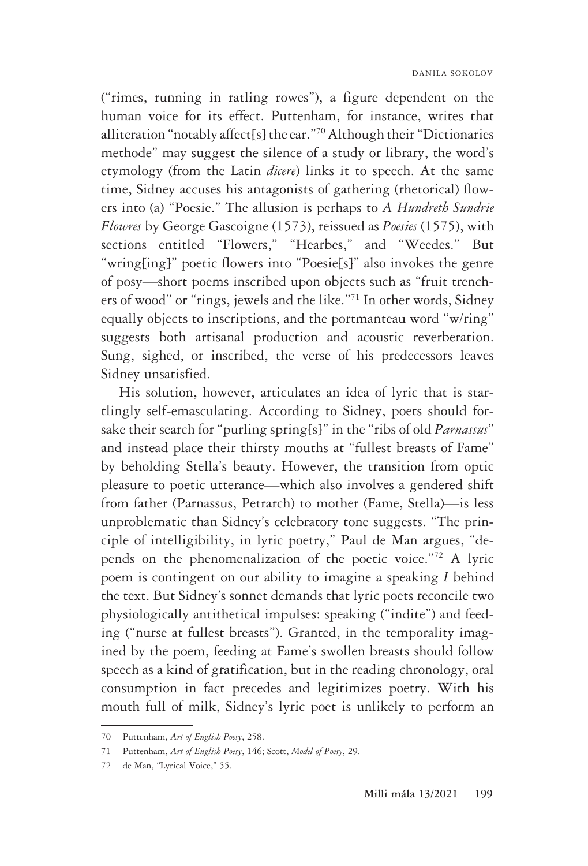("rimes, running in ratling rowes"), a figure dependent on the human voice for its effect. Puttenham, for instance, writes that alliteration "notably affect[s] the ear."70 Although their "Dictionaries methode" may suggest the silence of a study or library, the word's etymology (from the Latin *dicere*) links it to speech. At the same time, Sidney accuses his antagonists of gathering (rhetorical) flowers into (a) "Poesie." The allusion is perhaps to *A Hundreth Sundrie Flowres* by George Gascoigne (1573), reissued as *Poesies* (1575), with sections entitled "Flowers," "Hearbes," and "Weedes." But "wring[ing]" poetic flowers into "Poesie[s]" also invokes the genre of posy—short poems inscribed upon objects such as "fruit trenchers of wood" or "rings, jewels and the like."71 In other words, Sidney equally objects to inscriptions, and the portmanteau word "w/ring" suggests both artisanal production and acoustic reverberation. Sung, sighed, or inscribed, the verse of his predecessors leaves Sidney unsatisfied.

His solution, however, articulates an idea of lyric that is startlingly self-emasculating. According to Sidney, poets should forsake their search for "purling spring[s]" in the "ribs of old *Parnassus*" and instead place their thirsty mouths at "fullest breasts of Fame" by beholding Stella's beauty. However, the transition from optic pleasure to poetic utterance—which also involves a gendered shift from father (Parnassus, Petrarch) to mother (Fame, Stella)—is less unproblematic than Sidney's celebratory tone suggests. "The principle of intelligibility, in lyric poetry," Paul de Man argues, "depends on the phenomenalization of the poetic voice."72 A lyric poem is contingent on our ability to imagine a speaking *I* behind the text. But Sidney's sonnet demands that lyric poets reconcile two physiologically antithetical impulses: speaking ("indite") and feeding ("nurse at fullest breasts"). Granted, in the temporality imagined by the poem, feeding at Fame's swollen breasts should follow speech as a kind of gratification, but in the reading chronology, oral consumption in fact precedes and legitimizes poetry. With his mouth full of milk, Sidney's lyric poet is unlikely to perform an

<sup>70</sup> Puttenham, *Art of English Poesy*, 258.

<sup>71</sup> Puttenham, *Art of English Poesy*, 146; Scott, *Model of Poesy*, 29.

<sup>72</sup> de Man, "Lyrical Voice," 55.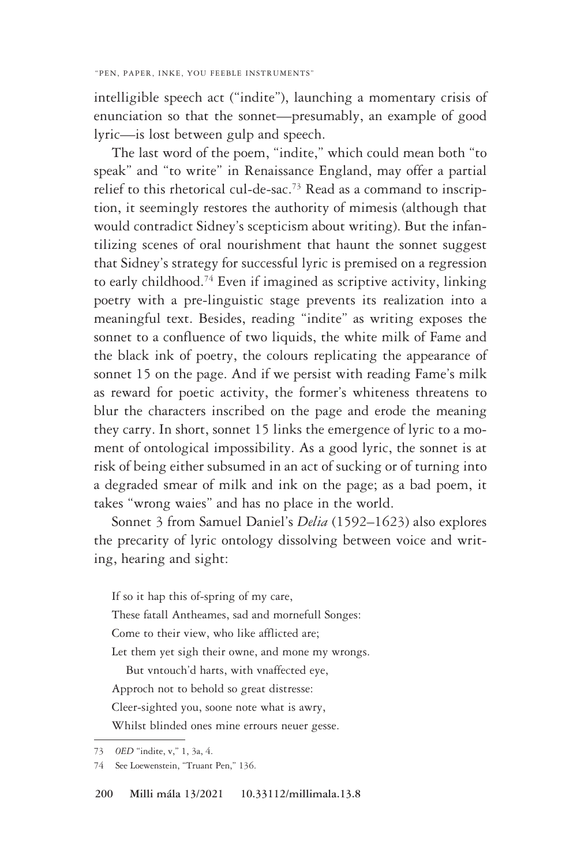intelligible speech act ("indite"), launching a momentary crisis of enunciation so that the sonnet—presumably, an example of good lyric—is lost between gulp and speech.

The last word of the poem, "indite," which could mean both "to speak" and "to write" in Renaissance England, may offer a partial relief to this rhetorical cul-de-sac.73 Read as a command to inscription, it seemingly restores the authority of mimesis (although that would contradict Sidney's scepticism about writing). But the infantilizing scenes of oral nourishment that haunt the sonnet suggest that Sidney's strategy for successful lyric is premised on a regression to early childhood.<sup>74</sup> Even if imagined as scriptive activity, linking poetry with a pre-linguistic stage prevents its realization into a meaningful text. Besides, reading "indite" as writing exposes the sonnet to a confluence of two liquids, the white milk of Fame and the black ink of poetry, the colours replicating the appearance of sonnet 15 on the page. And if we persist with reading Fame's milk as reward for poetic activity, the former's whiteness threatens to blur the characters inscribed on the page and erode the meaning they carry. In short, sonnet 15 links the emergence of lyric to a moment of ontological impossibility. As a good lyric, the sonnet is at risk of being either subsumed in an act of sucking or of turning into a degraded smear of milk and ink on the page; as a bad poem, it takes "wrong waies" and has no place in the world.

Sonnet 3 from Samuel Daniel's *Delia* (1592–1623) also explores the precarity of lyric ontology dissolving between voice and writing, hearing and sight:

If so it hap this of-spring of my care, These fatall Antheames, sad and mornefull Songes: Come to their view, who like afflicted are; Let them yet sigh their owne, and mone my wrongs.

But vntouch'd harts, with vnaffected eye,

Approch not to behold so great distresse:

Cleer-sighted you, soone note what is awry,

Whilst blinded ones mine errours neuer gesse.

<sup>73</sup> *OED* "indite, v," 1, 3a, 4.

<sup>74</sup> See Loewenstein, "Truant Pen," 136.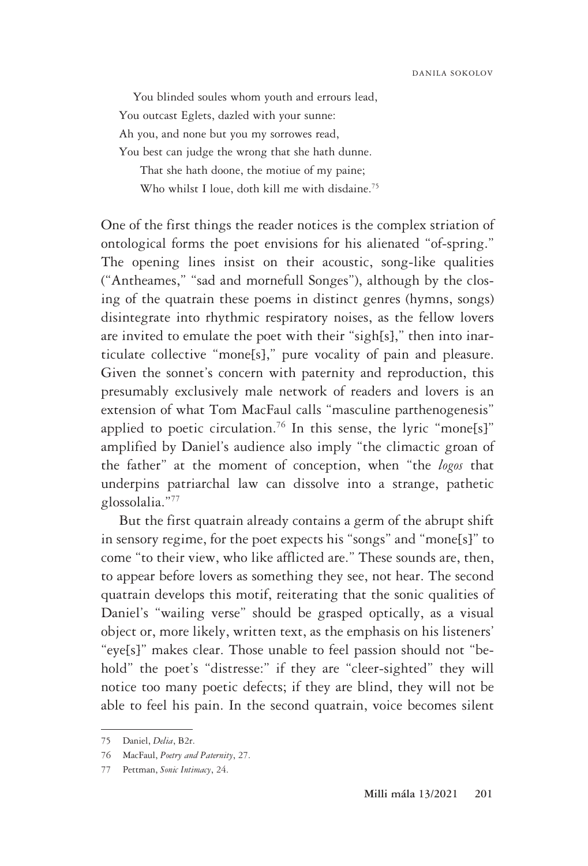You blinded soules whom youth and errours lead, You outcast Eglets, dazled with your sunne: Ah you, and none but you my sorrowes read, You best can judge the wrong that she hath dunne. That she hath doone, the motiue of my paine;

Who whilst I loue, doth kill me with disdaine.<sup>75</sup>

One of the first things the reader notices is the complex striation of ontological forms the poet envisions for his alienated "of-spring." The opening lines insist on their acoustic, song-like qualities ("Antheames," "sad and mornefull Songes"), although by the closing of the quatrain these poems in distinct genres (hymns, songs) disintegrate into rhythmic respiratory noises, as the fellow lovers are invited to emulate the poet with their "sigh[s]," then into inarticulate collective "mone[s]," pure vocality of pain and pleasure. Given the sonnet's concern with paternity and reproduction, this presumably exclusively male network of readers and lovers is an extension of what Tom MacFaul calls "masculine parthenogenesis" applied to poetic circulation.<sup>76</sup> In this sense, the lyric "mone[s]" amplified by Daniel's audience also imply "the climactic groan of the father" at the moment of conception, when "the *logos* that underpins patriarchal law can dissolve into a strange, pathetic glossolalia."77

But the first quatrain already contains a germ of the abrupt shift in sensory regime, for the poet expects his "songs" and "mone[s]" to come "to their view, who like afflicted are." These sounds are, then, to appear before lovers as something they see, not hear. The second quatrain develops this motif, reiterating that the sonic qualities of Daniel's "wailing verse" should be grasped optically, as a visual object or, more likely, written text, as the emphasis on his listeners' "eye[s]" makes clear. Those unable to feel passion should not "behold" the poet's "distresse:" if they are "cleer-sighted" they will notice too many poetic defects; if they are blind, they will not be able to feel his pain. In the second quatrain, voice becomes silent

<sup>75</sup> Daniel, *Delia*, B2r.

<sup>76</sup> MacFaul, *Poetry and Paternity*, 27.

<sup>77</sup> Pettman, *Sonic Intimacy*, 24.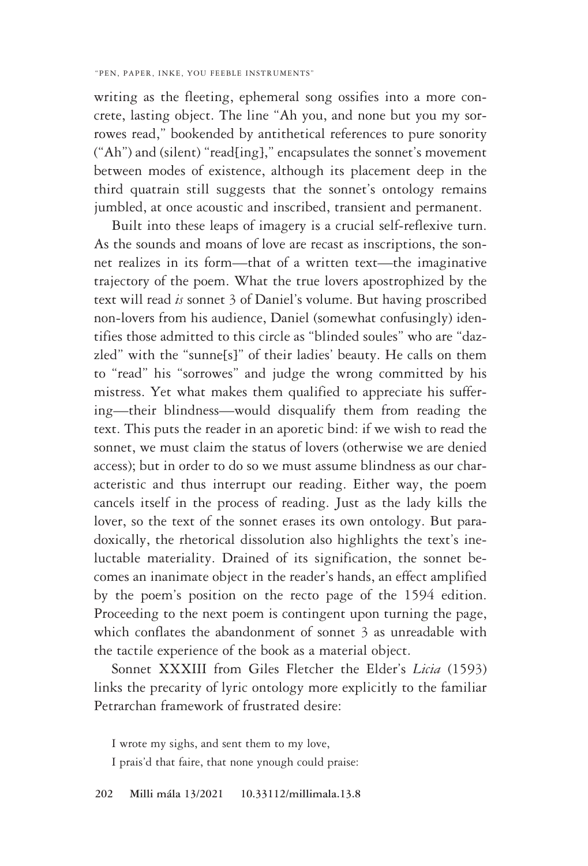writing as the fleeting, ephemeral song ossifies into a more concrete, lasting object. The line "Ah you, and none but you my sorrowes read," bookended by antithetical references to pure sonority ("Ah") and (silent) "read[ing]," encapsulates the sonnet's movement between modes of existence, although its placement deep in the third quatrain still suggests that the sonnet's ontology remains jumbled, at once acoustic and inscribed, transient and permanent.

Built into these leaps of imagery is a crucial self-reflexive turn. As the sounds and moans of love are recast as inscriptions, the sonnet realizes in its form—that of a written text—the imaginative trajectory of the poem. What the true lovers apostrophized by the text will read *is* sonnet 3 of Daniel's volume. But having proscribed non-lovers from his audience, Daniel (somewhat confusingly) identifies those admitted to this circle as "blinded soules" who are "dazzled" with the "sunne[s]" of their ladies' beauty. He calls on them to "read" his "sorrowes" and judge the wrong committed by his mistress. Yet what makes them qualified to appreciate his suffering—their blindness—would disqualify them from reading the text. This puts the reader in an aporetic bind: if we wish to read the sonnet, we must claim the status of lovers (otherwise we are denied access); but in order to do so we must assume blindness as our characteristic and thus interrupt our reading. Either way, the poem cancels itself in the process of reading. Just as the lady kills the lover, so the text of the sonnet erases its own ontology. But paradoxically, the rhetorical dissolution also highlights the text's ineluctable materiality. Drained of its signification, the sonnet becomes an inanimate object in the reader's hands, an effect amplified by the poem's position on the recto page of the 1594 edition. Proceeding to the next poem is contingent upon turning the page, which conflates the abandonment of sonnet 3 as unreadable with the tactile experience of the book as a material object.

Sonnet XXXIII from Giles Fletcher the Elder's *Licia* (1593) links the precarity of lyric ontology more explicitly to the familiar Petrarchan framework of frustrated desire:

I wrote my sighs, and sent them to my love,

I prais'd that faire, that none ynough could praise: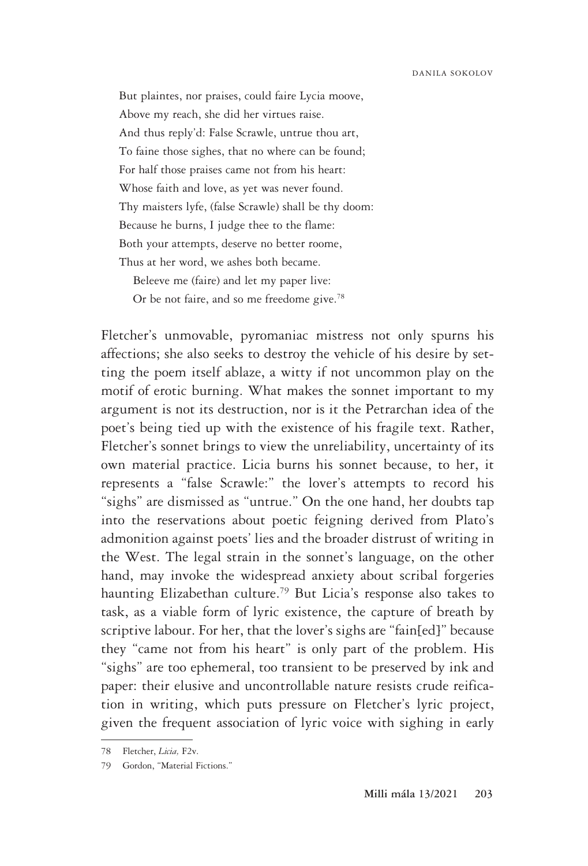But plaintes, nor praises, could faire Lycia moove, Above my reach, she did her virtues raise. And thus reply'd: False Scrawle, untrue thou art, To faine those sighes, that no where can be found; For half those praises came not from his heart: Whose faith and love, as yet was never found. Thy maisters lyfe, (false Scrawle) shall be thy doom: Because he burns, I judge thee to the flame: Both your attempts, deserve no better roome, Thus at her word, we ashes both became. Beleeve me (faire) and let my paper live:

Or be not faire, and so me freedome give.<sup>78</sup>

Fletcher's unmovable, pyromaniac mistress not only spurns his affections; she also seeks to destroy the vehicle of his desire by setting the poem itself ablaze, a witty if not uncommon play on the motif of erotic burning. What makes the sonnet important to my argument is not its destruction, nor is it the Petrarchan idea of the poet's being tied up with the existence of his fragile text. Rather, Fletcher's sonnet brings to view the unreliability, uncertainty of its own material practice. Licia burns his sonnet because, to her, it represents a "false Scrawle:" the lover's attempts to record his "sighs" are dismissed as "untrue." On the one hand, her doubts tap into the reservations about poetic feigning derived from Plato's admonition against poets' lies and the broader distrust of writing in the West. The legal strain in the sonnet's language, on the other hand, may invoke the widespread anxiety about scribal forgeries haunting Elizabethan culture.79 But Licia's response also takes to task, as a viable form of lyric existence, the capture of breath by scriptive labour. For her, that the lover's sighs are "fain[ed]" because they "came not from his heart" is only part of the problem. His "sighs" are too ephemeral, too transient to be preserved by ink and paper: their elusive and uncontrollable nature resists crude reification in writing, which puts pressure on Fletcher's lyric project, given the frequent association of lyric voice with sighing in early

<sup>78</sup> Fletcher, *Licia,* F2v.

<sup>79</sup> Gordon, "Material Fictions."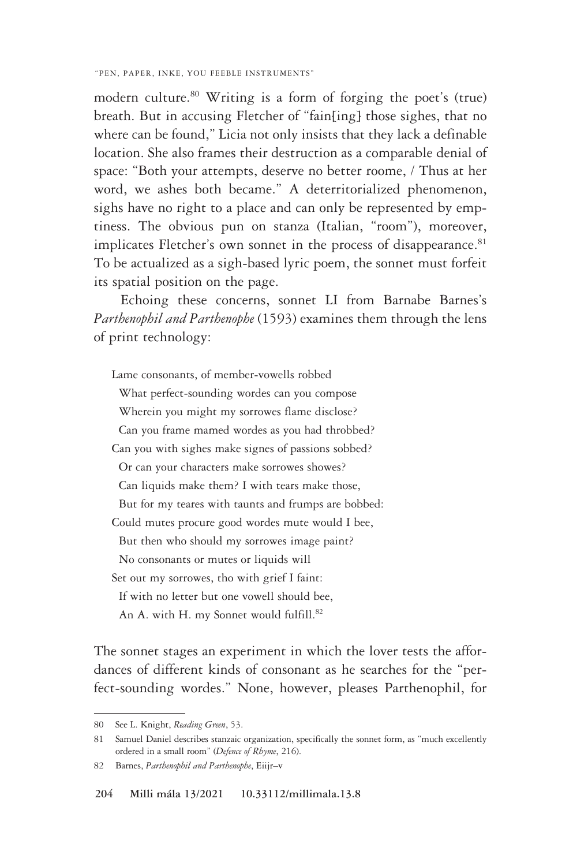modern culture.80 Writing is a form of forging the poet's (true) breath. But in accusing Fletcher of "fain[ing] those sighes, that no where can be found," Licia not only insists that they lack a definable location. She also frames their destruction as a comparable denial of space: "Both your attempts, deserve no better roome, / Thus at her word, we ashes both became." A deterritorialized phenomenon, sighs have no right to a place and can only be represented by emptiness. The obvious pun on stanza (Italian, "room"), moreover, implicates Fletcher's own sonnet in the process of disappearance.<sup>81</sup> To be actualized as a sigh-based lyric poem, the sonnet must forfeit its spatial position on the page.

 Echoing these concerns, sonnet LI from Barnabe Barnes's *Parthenophil and Parthenophe* (1593) examines them through the lens of print technology:

Lame consonants, of member-vowells robbed What perfect-sounding wordes can you compose Wherein you might my sorrowes flame disclose? Can you frame mamed wordes as you had throbbed? Can you with sighes make signes of passions sobbed? Or can your characters make sorrowes showes? Can liquids make them? I with tears make those, But for my teares with taunts and frumps are bobbed: Could mutes procure good wordes mute would I bee, But then who should my sorrowes image paint? No consonants or mutes or liquids will Set out my sorrowes, tho with grief I faint: If with no letter but one vowell should bee, An A. with H. my Sonnet would fulfill.<sup>82</sup>

The sonnet stages an experiment in which the lover tests the affordances of different kinds of consonant as he searches for the "perfect-sounding wordes." None, however, pleases Parthenophil, for

<sup>80</sup> See L. Knight, *Reading Green*, 53.

<sup>81</sup> Samuel Daniel describes stanzaic organization, specifically the sonnet form, as "much excellently ordered in a small room" (*Defence of Rhyme*, 216).

<sup>82</sup> Barnes, *Parthenophil and Parthenophe*, Eiijr–v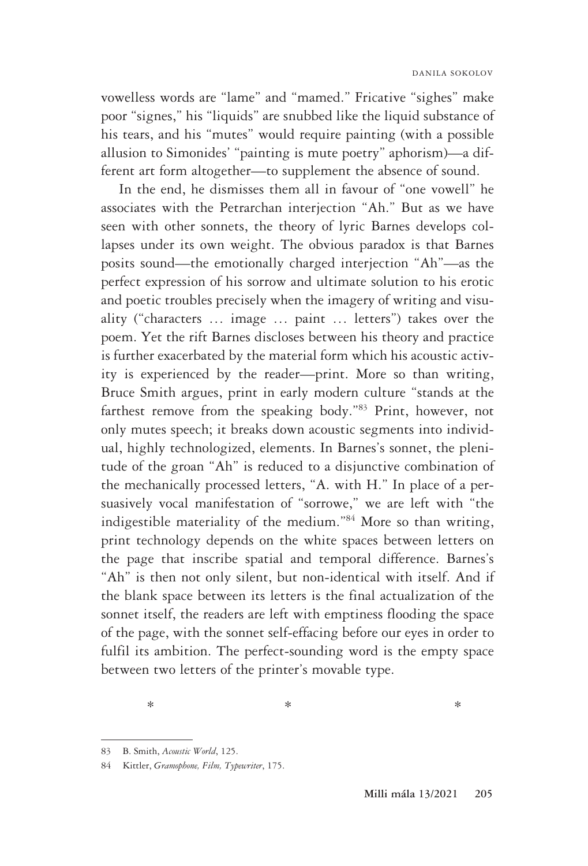vowelless words are "lame" and "mamed." Fricative "sighes" make poor "signes," his "liquids" are snubbed like the liquid substance of his tears, and his "mutes" would require painting (with a possible allusion to Simonides' "painting is mute poetry" aphorism)—a different art form altogether—to supplement the absence of sound.

In the end, he dismisses them all in favour of "one vowell" he associates with the Petrarchan interjection "Ah." But as we have seen with other sonnets, the theory of lyric Barnes develops collapses under its own weight. The obvious paradox is that Barnes posits sound—the emotionally charged interjection "Ah"—as the perfect expression of his sorrow and ultimate solution to his erotic and poetic troubles precisely when the imagery of writing and visuality ("characters … image … paint … letters") takes over the poem. Yet the rift Barnes discloses between his theory and practice is further exacerbated by the material form which his acoustic activity is experienced by the reader—print. More so than writing, Bruce Smith argues, print in early modern culture "stands at the farthest remove from the speaking body."83 Print, however, not only mutes speech; it breaks down acoustic segments into individual, highly technologized, elements. In Barnes's sonnet, the plenitude of the groan "Ah" is reduced to a disjunctive combination of the mechanically processed letters, "A. with H." In place of a persuasively vocal manifestation of "sorrowe," we are left with "the indigestible materiality of the medium."84 More so than writing, print technology depends on the white spaces between letters on the page that inscribe spatial and temporal difference. Barnes's "Ah" is then not only silent, but non-identical with itself. And if the blank space between its letters is the final actualization of the sonnet itself, the readers are left with emptiness flooding the space of the page, with the sonnet self-effacing before our eyes in order to fulfil its ambition. The perfect-sounding word is the empty space between two letters of the printer's movable type.

 $*$   $*$ 

<sup>83</sup> B. Smith, *Acoustic World*, 125.

<sup>84</sup> Kittler, *Gramophone, Film, Typewriter*, 175.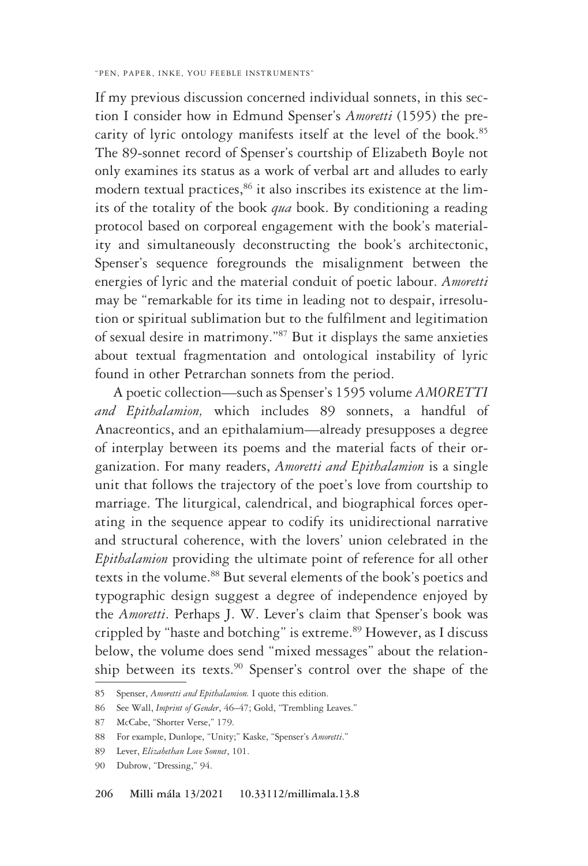If my previous discussion concerned individual sonnets, in this section I consider how in Edmund Spenser's *Amoretti* (1595) the precarity of lyric ontology manifests itself at the level of the book.<sup>85</sup> The 89-sonnet record of Spenser's courtship of Elizabeth Boyle not only examines its status as a work of verbal art and alludes to early modern textual practices,<sup>86</sup> it also inscribes its existence at the limits of the totality of the book *qua* book. By conditioning a reading protocol based on corporeal engagement with the book's materiality and simultaneously deconstructing the book's architectonic, Spenser's sequence foregrounds the misalignment between the energies of lyric and the material conduit of poetic labour. *Amoretti* may be "remarkable for its time in leading not to despair, irresolution or spiritual sublimation but to the fulfilment and legitimation of sexual desire in matrimony."87 But it displays the same anxieties about textual fragmentation and ontological instability of lyric found in other Petrarchan sonnets from the period.

A poetic collection—such as Spenser's 1595 volume *AMORETTI and Epithalamion,* which includes 89 sonnets, a handful of Anacreontics, and an epithalamium—already presupposes a degree of interplay between its poems and the material facts of their organization. For many readers, *Amoretti and Epithalamion* is a single unit that follows the trajectory of the poet's love from courtship to marriage. The liturgical, calendrical, and biographical forces operating in the sequence appear to codify its unidirectional narrative and structural coherence, with the lovers' union celebrated in the *Epithalamion* providing the ultimate point of reference for all other texts in the volume.<sup>88</sup> But several elements of the book's poetics and typographic design suggest a degree of independence enjoyed by the *Amoretti*. Perhaps J. W. Lever's claim that Spenser's book was crippled by "haste and botching" is extreme.<sup>89</sup> However, as I discuss below, the volume does send "mixed messages" about the relationship between its texts.<sup>90</sup> Spenser's control over the shape of the

<sup>85</sup> Spenser, *Amoretti and Epithalamion.* I quote this edition.

<sup>86</sup> See Wall, *Imprint of Gender*, 46–47; Gold, "Trembling Leaves."

<sup>87</sup> McCabe, "Shorter Verse," 179.

<sup>88</sup> For example, Dunlope, "Unity;" Kaske, "Spenser's *Amoretti*."

<sup>89</sup> Lever, *Elizabethan Love Sonnet*, 101.

<sup>90</sup> Dubrow, "Dressing," 94.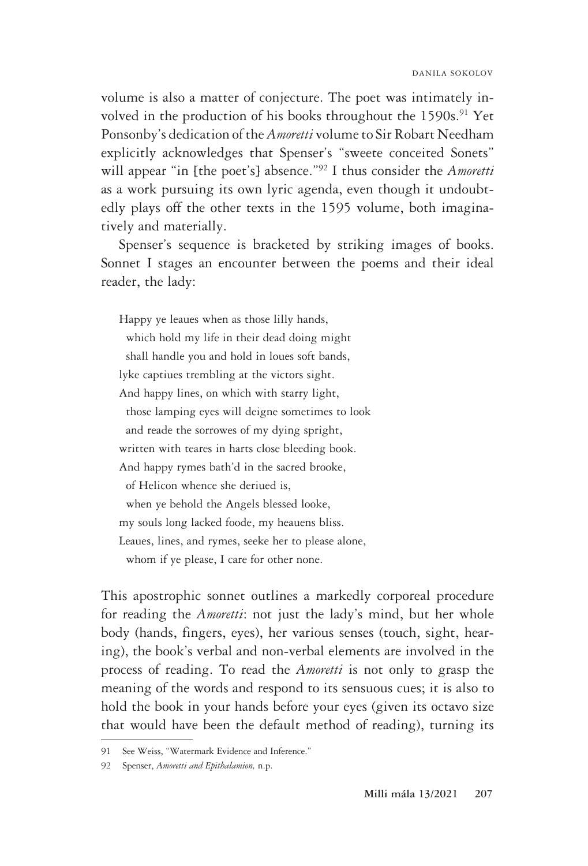volume is also a matter of conjecture. The poet was intimately involved in the production of his books throughout the  $1590s$ .<sup>91</sup> Yet Ponsonby's dedication of the *Amoretti* volume to Sir Robart Needham explicitly acknowledges that Spenser's "sweete conceited Sonets" will appear "in [the poet's] absence."92 I thus consider the *Amoretti* as a work pursuing its own lyric agenda, even though it undoubtedly plays off the other texts in the 1595 volume, both imaginatively and materially.

Spenser's sequence is bracketed by striking images of books. Sonnet I stages an encounter between the poems and their ideal reader, the lady:

Happy ye leaues when as those lilly hands, which hold my life in their dead doing might shall handle you and hold in loues soft bands, lyke captiues trembling at the victors sight. And happy lines, on which with starry light, those lamping eyes will deigne sometimes to look and reade the sorrowes of my dying spright, written with teares in harts close bleeding book. And happy rymes bath'd in the sacred brooke, of Helicon whence she deriued is, when ye behold the Angels blessed looke, my souls long lacked foode, my heauens bliss. Leaues, lines, and rymes, seeke her to please alone, whom if ye please, I care for other none.

This apostrophic sonnet outlines a markedly corporeal procedure for reading the *Amoretti*: not just the lady's mind, but her whole body (hands, fingers, eyes), her various senses (touch, sight, hearing), the book's verbal and non-verbal elements are involved in the process of reading. To read the *Amoretti* is not only to grasp the meaning of the words and respond to its sensuous cues; it is also to hold the book in your hands before your eyes (given its octavo size that would have been the default method of reading), turning its

<sup>91</sup> See Weiss, "Watermark Evidence and Inference."

<sup>92</sup> Spenser, *Amoretti and Epithalamion,* n.p.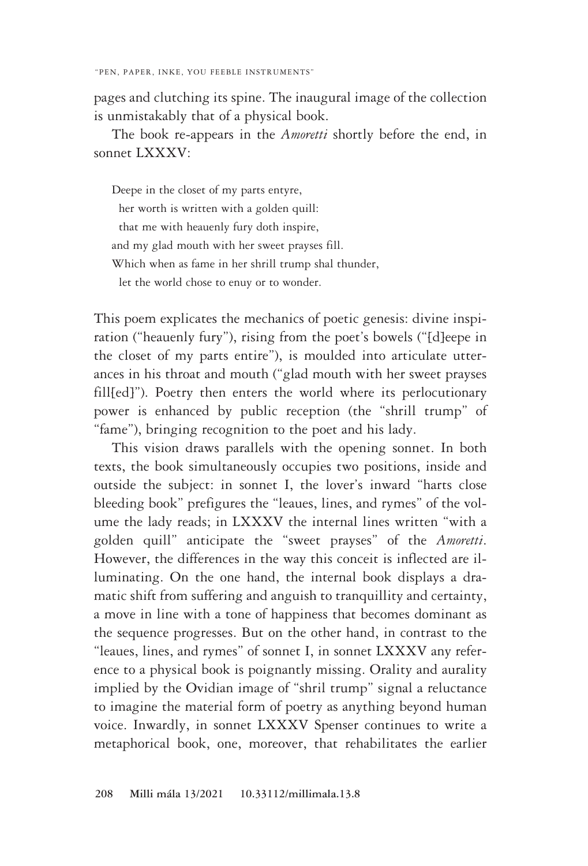pages and clutching its spine. The inaugural image of the collection is unmistakably that of a physical book.

The book re-appears in the *Amoretti* shortly before the end, in sonnet LXXXV:

Deepe in the closet of my parts entyre, her worth is written with a golden quill: that me with heauenly fury doth inspire, and my glad mouth with her sweet prayses fill. Which when as fame in her shrill trump shal thunder, let the world chose to enuy or to wonder.

This poem explicates the mechanics of poetic genesis: divine inspiration ("heauenly fury"), rising from the poet's bowels ("[d]eepe in the closet of my parts entire"), is moulded into articulate utterances in his throat and mouth ("glad mouth with her sweet prayses fill[ed]"). Poetry then enters the world where its perlocutionary power is enhanced by public reception (the "shrill trump" of "fame"), bringing recognition to the poet and his lady.

This vision draws parallels with the opening sonnet. In both texts, the book simultaneously occupies two positions, inside and outside the subject: in sonnet I, the lover's inward "harts close bleeding book" prefigures the "leaues, lines, and rymes" of the volume the lady reads; in LXXXV the internal lines written "with a golden quill" anticipate the "sweet prayses" of the *Amoretti*. However, the differences in the way this conceit is inflected are illuminating. On the one hand, the internal book displays a dramatic shift from suffering and anguish to tranquillity and certainty, a move in line with a tone of happiness that becomes dominant as the sequence progresses. But on the other hand, in contrast to the "leaues, lines, and rymes" of sonnet I, in sonnet LXXXV any reference to a physical book is poignantly missing. Orality and aurality implied by the Ovidian image of "shril trump" signal a reluctance to imagine the material form of poetry as anything beyond human voice. Inwardly, in sonnet LXXXV Spenser continues to write a metaphorical book, one, moreover, that rehabilitates the earlier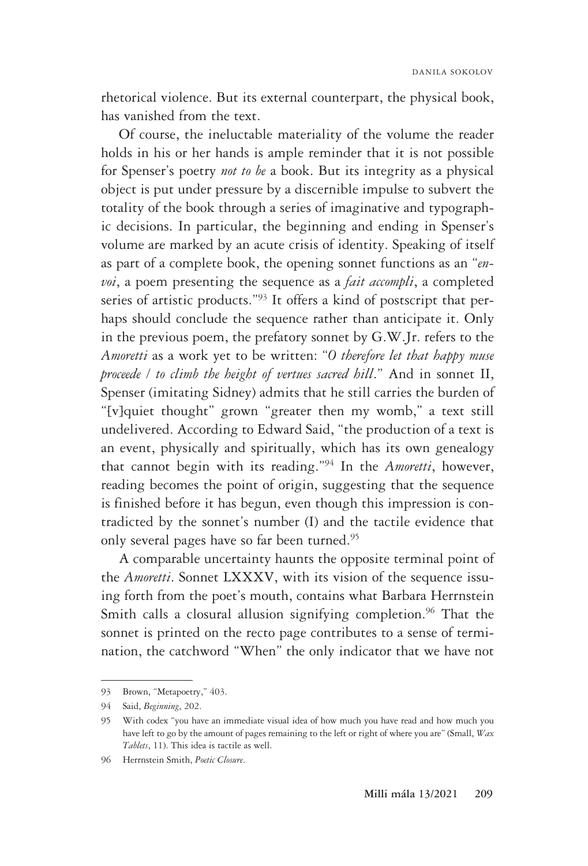rhetorical violence. But its external counterpart, the physical book, has vanished from the text.

Of course, the ineluctable materiality of the volume the reader holds in his or her hands is ample reminder that it is not possible for Spenser's poetry *not to be* a book. But its integrity as a physical object is put under pressure by a discernible impulse to subvert the totality of the book through a series of imaginative and typographic decisions. In particular, the beginning and ending in Spenser's volume are marked by an acute crisis of identity. Speaking of itself as part of a complete book, the opening sonnet functions as an "*envoi*, a poem presenting the sequence as a *fait accompli*, a completed series of artistic products."93 It offers a kind of postscript that perhaps should conclude the sequence rather than anticipate it. Only in the previous poem, the prefatory sonnet by G.W.Jr. refers to the *Amoretti* as a work yet to be written: "*O therefore let that happy muse proceede / to climb the height of vertues sacred hill*." And in sonnet II, Spenser (imitating Sidney) admits that he still carries the burden of "[v]quiet thought" grown "greater then my womb," a text still undelivered. According to Edward Said, "the production of a text is an event, physically and spiritually, which has its own genealogy that cannot begin with its reading."94 In the *Amoretti*, however, reading becomes the point of origin, suggesting that the sequence is finished before it has begun, even though this impression is contradicted by the sonnet's number (I) and the tactile evidence that only several pages have so far been turned.95

A comparable uncertainty haunts the opposite terminal point of the *Amoretti*. Sonnet LXXXV, with its vision of the sequence issuing forth from the poet's mouth, contains what Barbara Herrnstein Smith calls a closural allusion signifying completion.<sup>96</sup> That the sonnet is printed on the recto page contributes to a sense of termination, the catchword "When" the only indicator that we have not

<sup>93</sup> Brown, "Metapoetry," 403.

<sup>94</sup> Said, *Beginning*, 202.

<sup>95</sup> With codex "you have an immediate visual idea of how much you have read and how much you have left to go by the amount of pages remaining to the left or right of where you are" (Small, *Wax Tablets*, 11). This idea is tactile as well.

<sup>96</sup> Herrnstein Smith, *Poetic Closure*.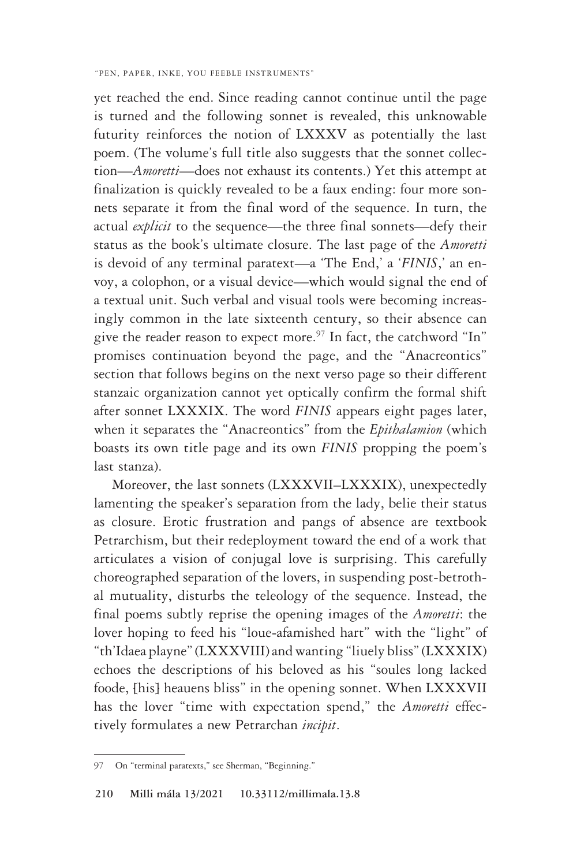yet reached the end. Since reading cannot continue until the page is turned and the following sonnet is revealed, this unknowable futurity reinforces the notion of LXXXV as potentially the last poem. (The volume's full title also suggests that the sonnet collection—*Amoretti*—does not exhaust its contents.) Yet this attempt at finalization is quickly revealed to be a faux ending: four more sonnets separate it from the final word of the sequence. In turn, the actual *explicit* to the sequence—the three final sonnets—defy their status as the book's ultimate closure. The last page of the *Amoretti* is devoid of any terminal paratext—a 'The End,' a '*FINIS*,' an envoy, a colophon, or a visual device—which would signal the end of a textual unit. Such verbal and visual tools were becoming increasingly common in the late sixteenth century, so their absence can give the reader reason to expect more.<sup>97</sup> In fact, the catchword "In" promises continuation beyond the page, and the "Anacreontics" section that follows begins on the next verso page so their different stanzaic organization cannot yet optically confirm the formal shift after sonnet LXXXIX. The word *FINIS* appears eight pages later, when it separates the "Anacreontics" from the *Epithalamion* (which boasts its own title page and its own *FINIS* propping the poem's last stanza).

Moreover, the last sonnets (LXXXVII–LXXXIX), unexpectedly lamenting the speaker's separation from the lady, belie their status as closure. Erotic frustration and pangs of absence are textbook Petrarchism, but their redeployment toward the end of a work that articulates a vision of conjugal love is surprising. This carefully choreographed separation of the lovers, in suspending post-betrothal mutuality, disturbs the teleology of the sequence. Instead, the final poems subtly reprise the opening images of the *Amoretti*: the lover hoping to feed his "loue-afamished hart" with the "light" of "th'Idaea playne" (LXXXVIII) and wanting "liuely bliss" (LXXXIX) echoes the descriptions of his beloved as his "soules long lacked foode, [his] heauens bliss" in the opening sonnet. When LXXXVII has the lover "time with expectation spend," the *Amoretti* effectively formulates a new Petrarchan *incipit*.

<sup>97</sup> On "terminal paratexts," see Sherman, "Beginning."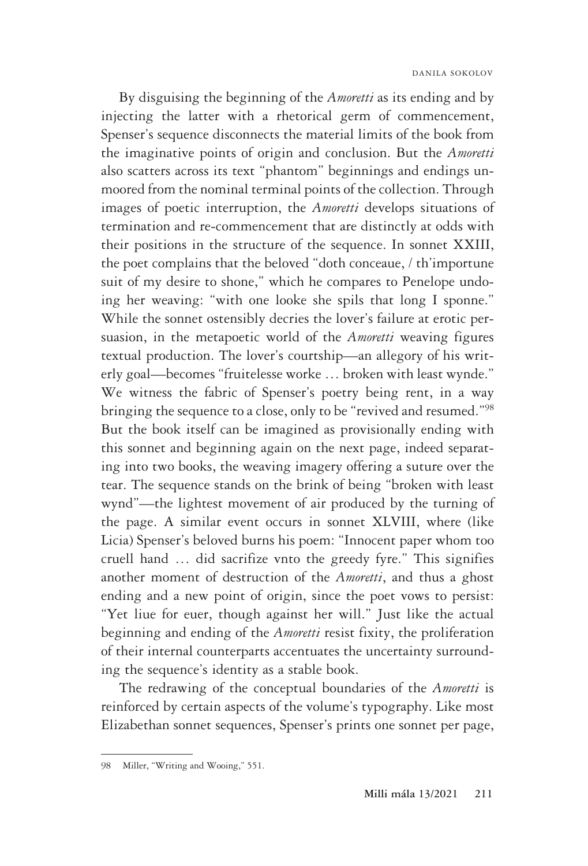By disguising the beginning of the *Amoretti* as its ending and by injecting the latter with a rhetorical germ of commencement, Spenser's sequence disconnects the material limits of the book from the imaginative points of origin and conclusion. But the *Amoretti* also scatters across its text "phantom" beginnings and endings unmoored from the nominal terminal points of the collection. Through images of poetic interruption, the *Amoretti* develops situations of termination and re-commencement that are distinctly at odds with their positions in the structure of the sequence. In sonnet XXIII, the poet complains that the beloved "doth conceaue, / th'importune suit of my desire to shone," which he compares to Penelope undoing her weaving: "with one looke she spils that long I sponne." While the sonnet ostensibly decries the lover's failure at erotic persuasion, in the metapoetic world of the *Amoretti* weaving figures textual production. The lover's courtship—an allegory of his writerly goal—becomes "fruitelesse worke … broken with least wynde." We witness the fabric of Spenser's poetry being rent, in a way bringing the sequence to a close, only to be "revived and resumed."<sup>98</sup> But the book itself can be imagined as provisionally ending with this sonnet and beginning again on the next page, indeed separating into two books, the weaving imagery offering a suture over the tear. The sequence stands on the brink of being "broken with least wynd"—the lightest movement of air produced by the turning of the page. A similar event occurs in sonnet XLVIII, where (like Licia) Spenser's beloved burns his poem: "Innocent paper whom too cruell hand … did sacrifize vnto the greedy fyre." This signifies another moment of destruction of the *Amoretti*, and thus a ghost ending and a new point of origin, since the poet vows to persist: "Yet liue for euer, though against her will." Just like the actual beginning and ending of the *Amoretti* resist fixity, the proliferation of their internal counterparts accentuates the uncertainty surrounding the sequence's identity as a stable book.

The redrawing of the conceptual boundaries of the *Amoretti* is reinforced by certain aspects of the volume's typography. Like most Elizabethan sonnet sequences, Spenser's prints one sonnet per page,

<sup>98</sup> Miller, "Writing and Wooing," 551.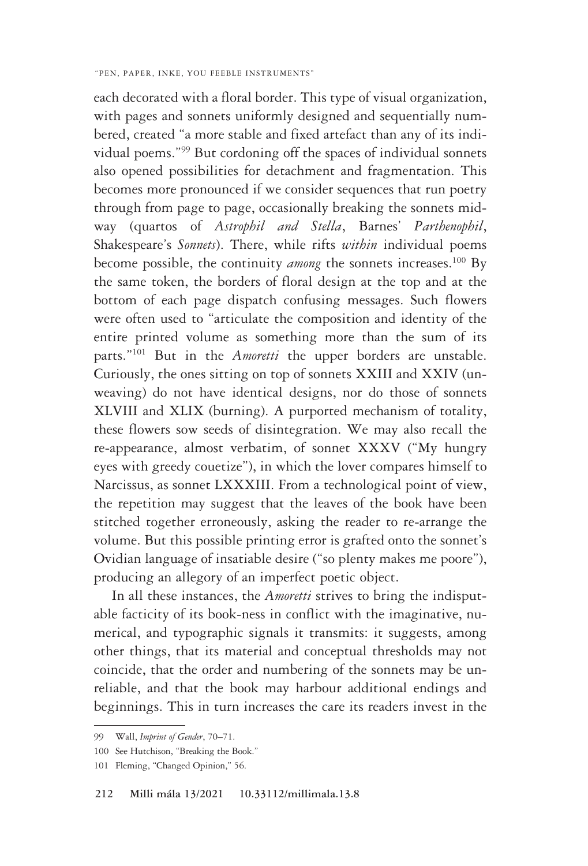each decorated with a floral border. This type of visual organization, with pages and sonnets uniformly designed and sequentially numbered, created "a more stable and fixed artefact than any of its individual poems."99 But cordoning off the spaces of individual sonnets also opened possibilities for detachment and fragmentation. This becomes more pronounced if we consider sequences that run poetry through from page to page, occasionally breaking the sonnets midway (quartos of *Astrophil and Stella*, Barnes' *Parthenophil*, Shakespeare's *Sonnets*). There, while rifts *within* individual poems become possible, the continuity *among* the sonnets increases.<sup>100</sup> By the same token, the borders of floral design at the top and at the bottom of each page dispatch confusing messages. Such flowers were often used to "articulate the composition and identity of the entire printed volume as something more than the sum of its parts."101 But in the *Amoretti* the upper borders are unstable. Curiously, the ones sitting on top of sonnets XXIII and XXIV (unweaving) do not have identical designs, nor do those of sonnets XLVIII and XLIX (burning). A purported mechanism of totality, these flowers sow seeds of disintegration. We may also recall the re-appearance, almost verbatim, of sonnet XXXV ("My hungry eyes with greedy couetize"), in which the lover compares himself to Narcissus, as sonnet LXXXIII. From a technological point of view, the repetition may suggest that the leaves of the book have been stitched together erroneously, asking the reader to re-arrange the volume. But this possible printing error is grafted onto the sonnet's Ovidian language of insatiable desire ("so plenty makes me poore"), producing an allegory of an imperfect poetic object.

In all these instances, the *Amoretti* strives to bring the indisputable facticity of its book-ness in conflict with the imaginative, numerical, and typographic signals it transmits: it suggests, among other things, that its material and conceptual thresholds may not coincide, that the order and numbering of the sonnets may be unreliable, and that the book may harbour additional endings and beginnings. This in turn increases the care its readers invest in the

<sup>99</sup> Wall, *Imprint of Gender*, 70–71.

<sup>100</sup> See Hutchison, "Breaking the Book."

<sup>101</sup> Fleming, "Changed Opinion," 56.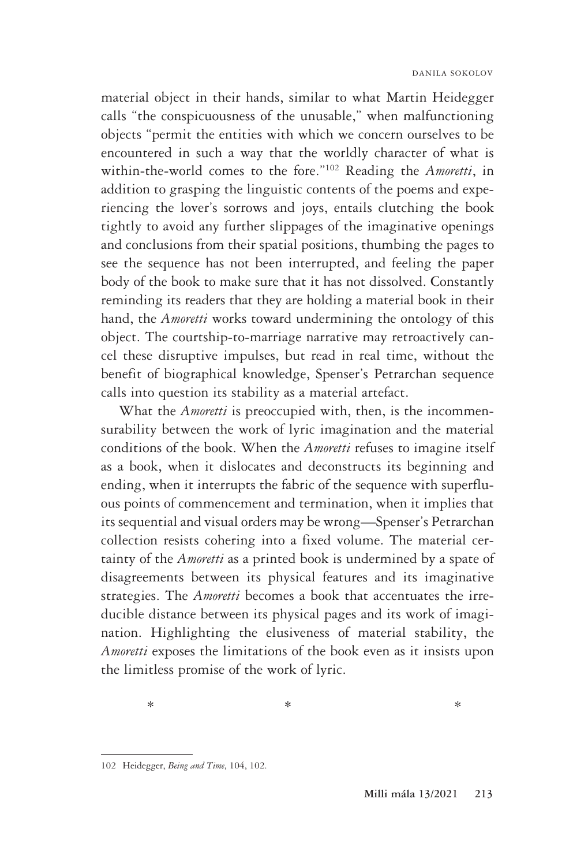material object in their hands, similar to what Martin Heidegger calls "the conspicuousness of the unusable," when malfunctioning objects "permit the entities with which we concern ourselves to be encountered in such a way that the worldly character of what is within-the-world comes to the fore."102 Reading the *Amoretti*, in addition to grasping the linguistic contents of the poems and experiencing the lover's sorrows and joys, entails clutching the book tightly to avoid any further slippages of the imaginative openings and conclusions from their spatial positions, thumbing the pages to see the sequence has not been interrupted, and feeling the paper body of the book to make sure that it has not dissolved. Constantly reminding its readers that they are holding a material book in their hand, the *Amoretti* works toward undermining the ontology of this object. The courtship-to-marriage narrative may retroactively cancel these disruptive impulses, but read in real time, without the benefit of biographical knowledge, Spenser's Petrarchan sequence calls into question its stability as a material artefact.

What the *Amoretti* is preoccupied with, then, is the incommensurability between the work of lyric imagination and the material conditions of the book. When the *Amoretti* refuses to imagine itself as a book, when it dislocates and deconstructs its beginning and ending, when it interrupts the fabric of the sequence with superfluous points of commencement and termination, when it implies that its sequential and visual orders may be wrong—Spenser's Petrarchan collection resists cohering into a fixed volume. The material certainty of the *Amoretti* as a printed book is undermined by a spate of disagreements between its physical features and its imaginative strategies. The *Amoretti* becomes a book that accentuates the irreducible distance between its physical pages and its work of imagination. Highlighting the elusiveness of material stability, the *Amoretti* exposes the limitations of the book even as it insists upon the limitless promise of the work of lyric.

<sup>102</sup> Heidegger, *Being and Time*, 104, 102.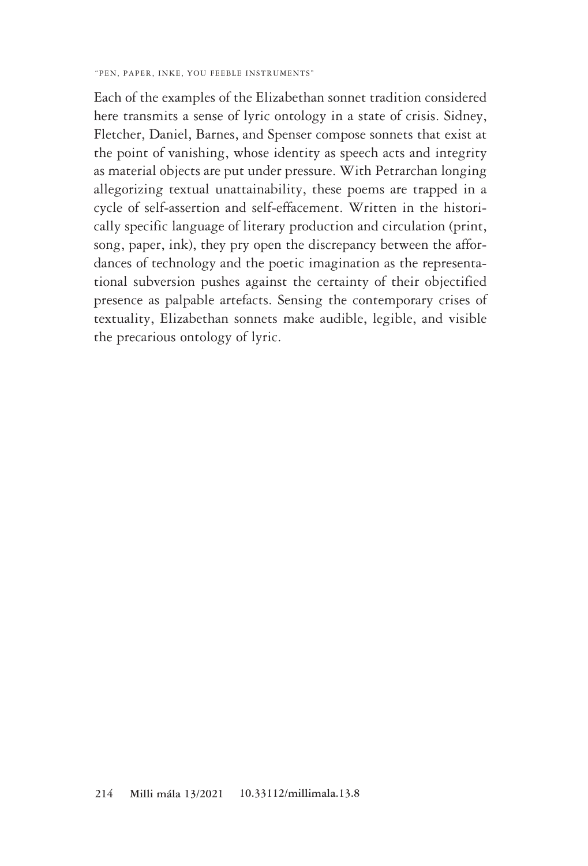Each of the examples of the Elizabethan sonnet tradition considered here transmits a sense of lyric ontology in a state of crisis. Sidney, Fletcher, Daniel, Barnes, and Spenser compose sonnets that exist at the point of vanishing, whose identity as speech acts and integrity as material objects are put under pressure. With Petrarchan longing allegorizing textual unattainability, these poems are trapped in a cycle of self-assertion and self-effacement. Written in the historically specific language of literary production and circulation (print, song, paper, ink), they pry open the discrepancy between the affordances of technology and the poetic imagination as the representational subversion pushes against the certainty of their objectified presence as palpable artefacts. Sensing the contemporary crises of textuality, Elizabethan sonnets make audible, legible, and visible the precarious ontology of lyric.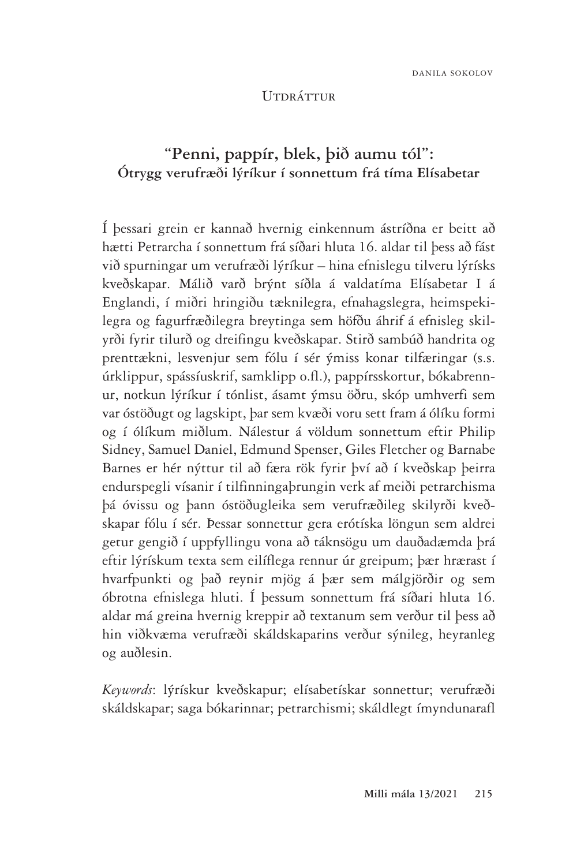### Útdráttur

# **"Penni, pappír, blek, þið aumu tól": Ótrygg verufræði lýríkur í sonnettum frá tíma Elísabetar**

Í þessari grein er kannað hvernig einkennum ástríðna er beitt að hætti Petrarcha í sonnettum frá síðari hluta 16. aldar til þess að fást við spurningar um verufræði lýríkur – hina efnislegu tilveru lýrísks kveðskapar. Málið varð brýnt síðla á valdatíma Elísabetar I á Englandi, í miðri hringiðu tæknilegra, efnahagslegra, heimspekilegra og fagurfræðilegra breytinga sem höfðu áhrif á efnisleg skilyrði fyrir tilurð og dreifingu kveðskapar. Stirð sambúð handrita og prenttækni, lesvenjur sem fólu í sér ýmiss konar tilfæringar (s.s. úrklippur, spássíuskrif, samklipp o.fl.), pappírsskortur, bókabrennur, notkun lýríkur í tónlist, ásamt ýmsu öðru, skóp umhverfi sem var óstöðugt og lagskipt, þar sem kvæði voru sett fram á ólíku formi og í ólíkum miðlum. Nálestur á völdum sonnettum eftir Philip Sidney, Samuel Daniel, Edmund Spenser, Giles Fletcher og Barnabe Barnes er hér nýttur til að færa rök fyrir því að í kveðskap þeirra endurspegli vísanir í tilfinningaþrungin verk af meiði petrarchisma þá óvissu og þann óstöðugleika sem verufræðileg skilyrði kveðskapar fólu í sér. Þessar sonnettur gera erótíska löngun sem aldrei getur gengið í uppfyllingu vona að táknsögu um dauðadæmda þrá eftir lýrískum texta sem eilíflega rennur úr greipum; þær hrærast í hvarfpunkti og það reynir mjög á þær sem málgjörðir og sem óbrotna efnislega hluti. Í þessum sonnettum frá síðari hluta 16. aldar má greina hvernig kreppir að textanum sem verður til þess að hin viðkvæma verufræði skáldskaparins verður sýnileg, heyranleg og auðlesin.

*Keywords*: lýrískur kveðskapur; elísabetískar sonnettur; verufræði skáldskapar; saga bókarinnar; petrarchismi; skáldlegt ímyndunarafl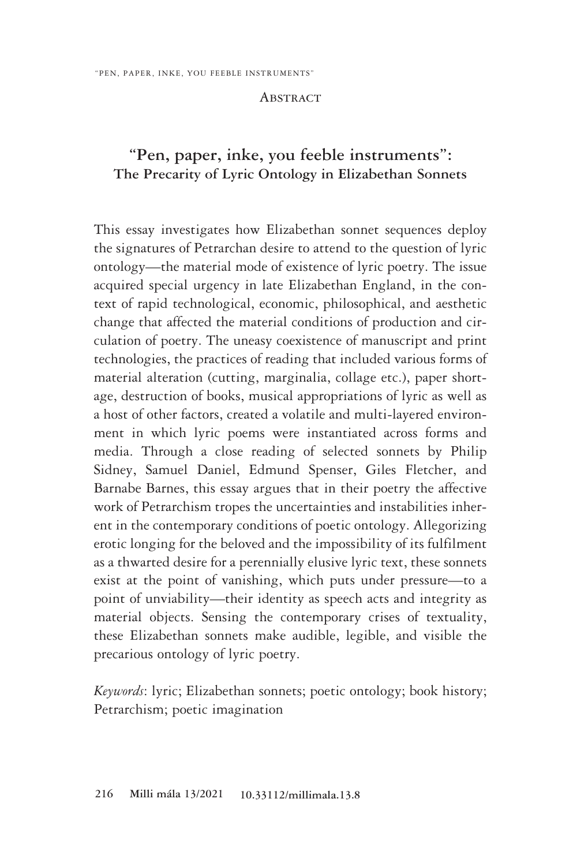### **ABSTRACT**

## **"Pen, paper, inke, you feeble instruments": The Precarity of Lyric Ontology in Elizabethan Sonnets**

This essay investigates how Elizabethan sonnet sequences deploy the signatures of Petrarchan desire to attend to the question of lyric ontology—the material mode of existence of lyric poetry. The issue acquired special urgency in late Elizabethan England, in the context of rapid technological, economic, philosophical, and aesthetic change that affected the material conditions of production and circulation of poetry. The uneasy coexistence of manuscript and print technologies, the practices of reading that included various forms of material alteration (cutting, marginalia, collage etc.), paper shortage, destruction of books, musical appropriations of lyric as well as a host of other factors, created a volatile and multi-layered environment in which lyric poems were instantiated across forms and media. Through a close reading of selected sonnets by Philip Sidney, Samuel Daniel, Edmund Spenser, Giles Fletcher, and Barnabe Barnes, this essay argues that in their poetry the affective work of Petrarchism tropes the uncertainties and instabilities inherent in the contemporary conditions of poetic ontology. Allegorizing erotic longing for the beloved and the impossibility of its fulfilment as a thwarted desire for a perennially elusive lyric text, these sonnets exist at the point of vanishing, which puts under pressure—to a point of unviability—their identity as speech acts and integrity as material objects. Sensing the contemporary crises of textuality, these Elizabethan sonnets make audible, legible, and visible the precarious ontology of lyric poetry.

*Keywords*: lyric; Elizabethan sonnets; poetic ontology; book history; Petrarchism; poetic imagination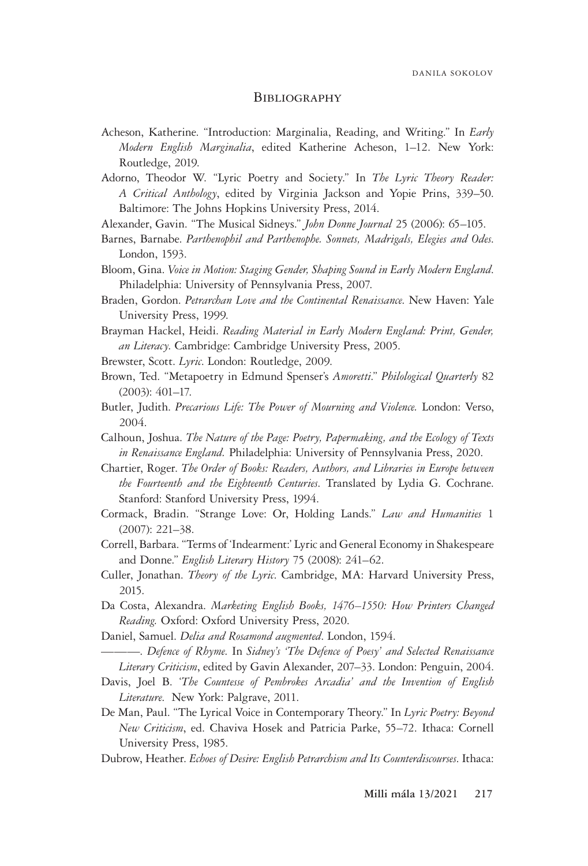### **BIBLIOGRAPHY**

- Acheson, Katherine. "Introduction: Marginalia, Reading, and Writing." In *Early Modern English Marginalia*, edited Katherine Acheson, 1–12. New York: Routledge, 2019.
- Adorno, Theodor W. "Lyric Poetry and Society." In *The Lyric Theory Reader: A Critical Anthology*, edited by Virginia Jackson and Yopie Prins, 339–50. Baltimore: The Johns Hopkins University Press, 2014.
- Alexander, Gavin. "The Musical Sidneys." *John Donne Journal* 25 (2006): 65–105.
- Barnes, Barnabe. *Parthenophil and Parthenophe. Sonnets, Madrigals, Elegies and Odes*. London, 1593.
- Bloom, Gina. *Voice in Motion: Staging Gender, Shaping Sound in Early Modern England*. Philadelphia: University of Pennsylvania Press, 2007.
- Braden, Gordon. *Petrarchan Love and the Continental Renaissance*. New Haven: Yale University Press, 1999.
- Brayman Hackel, Heidi. *Reading Material in Early Modern England: Print, Gender, an Literacy*. Cambridge: Cambridge University Press, 2005.
- Brewster, Scott. *Lyric*. London: Routledge, 2009.
- Brown, Ted. "Metapoetry in Edmund Spenser's *Amoretti*." *Philological Quarterly* 82 (2003): 401–17.
- Butler, Judith. *Precarious Life: The Power of Mourning and Violence.* London: Verso, 2004.
- Calhoun, Joshua. *The Nature of the Page: Poetry, Papermaking, and the Ecology of Texts in Renaissance England.* Philadelphia: University of Pennsylvania Press, 2020.
- Chartier, Roger. *The Order of Books: Readers, Authors, and Libraries in Europe between the Fourteenth and the Eighteenth Centuries*. Translated by Lydia G. Cochrane. Stanford: Stanford University Press, 1994.
- Cormack, Bradin. "Strange Love: Or, Holding Lands." *Law and Humanities* 1 (2007): 221–38.
- Correll, Barbara. "Terms of 'Indearment:' Lyric and General Economy in Shakespeare and Donne." *English Literary History* 75 (2008): 241–62.
- Culler, Jonathan. *Theory of the Lyric*. Cambridge, MA: Harvard University Press, 2015.
- Da Costa, Alexandra. *Marketing English Books, 1476–1550: How Printers Changed Reading.* Oxford: Oxford University Press, 2020.
- Daniel, Samuel. *Delia and Rosamond augmented*. London, 1594.
- ———. *Defence of Rhyme*. In *Sidney's 'The Defence of Poesy' and Selected Renaissance Literary Criticism*, edited by Gavin Alexander, 207–33. London: Penguin, 2004.
- Davis, Joel B. '*The Countesse of Pembrokes Arcadia' and the Invention of English Literature*. New York: Palgrave, 2011.
- De Man, Paul. "The Lyrical Voice in Contemporary Theory." In *Lyric Poetry: Beyond New Criticism*, ed. Chaviva Hosek and Patricia Parke, 55–72. Ithaca: Cornell University Press, 1985.
- Dubrow, Heather. *Echoes of Desire: English Petrarchism and Its Counterdiscourses*. Ithaca: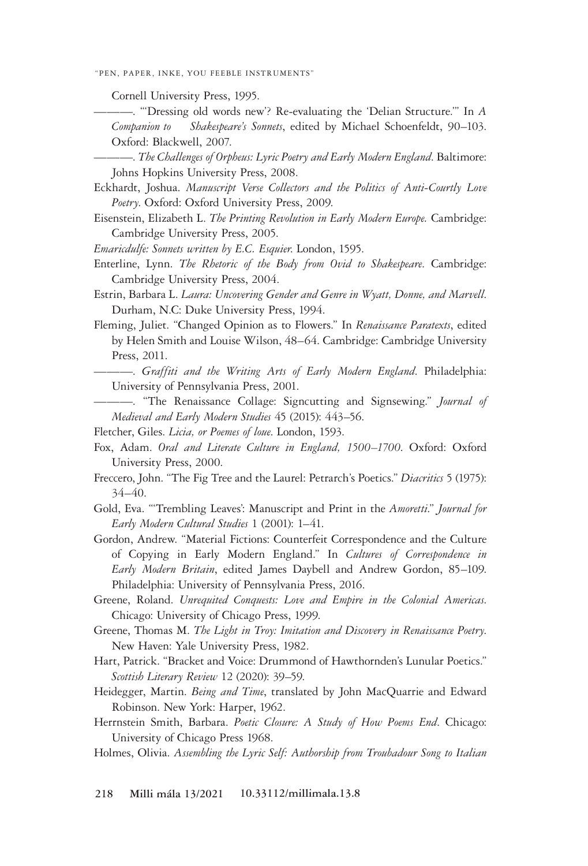Cornell University Press, 1995.

———. "'Dressing old words new'? Re-evaluating the 'Delian Structure.'" In *A Companion to Shakespeare's Sonnets*, edited by Michael Schoenfeldt, 90–103. Oxford: Blackwell, 2007.

———. *The Challenges of Orpheus: Lyric Poetry and Early Modern England*. Baltimore: Johns Hopkins University Press, 2008.

Eckhardt, Joshua. *Manuscript Verse Collectors and the Politics of Anti-Courtly Love Poetry*. Oxford: Oxford University Press, 2009.

Eisenstein, Elizabeth L. *The Printing Revolution in Early Modern Europe.* Cambridge: Cambridge University Press, 2005.

*Emaricdulfe: Sonnets written by E.C. Esquier*. London, 1595.

- Enterline, Lynn. *The Rhetoric of the Body from Ovid to Shakespeare*. Cambridge: Cambridge University Press, 2004.
- Estrin, Barbara L. *Laura: Uncovering Gender and Genre in Wyatt, Donne, and Marvell*. Durham, N.C: Duke University Press, 1994.
- Fleming, Juliet. "Changed Opinion as to Flowers." In *Renaissance Paratexts*, edited by Helen Smith and Louise Wilson, 48–64. Cambridge: Cambridge University Press, 2011.
	- ———. *Graffiti and the Writing Arts of Early Modern England*. Philadelphia: University of Pennsylvania Press, 2001.
- ———. "The Renaissance Collage: Signcutting and Signsewing." *Journal of Medieval and Early Modern Studies* 45 (2015): 443–56.

Fletcher, Giles. *Licia, or Poemes of loue*. London, 1593.

- Fox, Adam. *Oral and Literate Culture in England, 1500–1700*. Oxford: Oxford University Press, 2000.
- Freccero, John. "The Fig Tree and the Laurel: Petrarch's Poetics." *Diacritics* 5 (1975): 34–40.
- Gold, Eva. "'Trembling Leaves': Manuscript and Print in the *Amoretti*." *Journal for Early Modern Cultural Studies* 1 (2001): 1–41.
- Gordon, Andrew. "Material Fictions: Counterfeit Correspondence and the Culture of Copying in Early Modern England." In *Cultures of Correspondence in Early Modern Britain*, edited James Daybell and Andrew Gordon, 85–109. Philadelphia: University of Pennsylvania Press, 2016.
- Greene, Roland. *Unrequited Conquests: Love and Empire in the Colonial Americas*. Chicago: University of Chicago Press, 1999.
- Greene, Thomas M. *The Light in Troy: Imitation and Discovery in Renaissance Poetry*. New Haven: Yale University Press, 1982.
- Hart, Patrick. "Bracket and Voice: Drummond of Hawthornden's Lunular Poetics." *Scottish Literary Review* 12 (2020): 39–59.
- Heidegger, Martin. *Being and Time*, translated by John MacQuarrie and Edward Robinson. New York: Harper, 1962.
- Herrnstein Smith, Barbara. *Poetic Closure: A Study of How Poems End*. Chicago: University of Chicago Press 1968.
- Holmes, Olivia. *Assembling the Lyric Self: Authorship from Troubadour Song to Italian*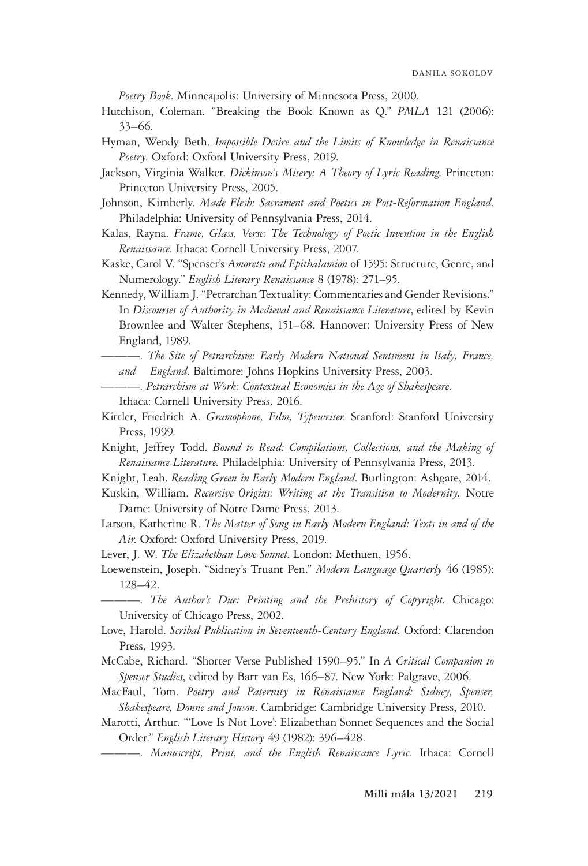*Poetry Book*. Minneapolis: University of Minnesota Press, 2000.

- Hutchison, Coleman. "Breaking the Book Known as Q." *PMLA* 121 (2006): 33–66.
- Hyman, Wendy Beth. *Impossible Desire and the Limits of Knowledge in Renaissance Poetry*. Oxford: Oxford University Press, 2019.
- Jackson, Virginia Walker. *Dickinson's Misery: A Theory of Lyric Reading*. Princeton: Princeton University Press, 2005.
- Johnson, Kimberly. *Made Flesh: Sacrament and Poetics in Post-Reformation England*. Philadelphia: University of Pennsylvania Press, 2014.
- Kalas, Rayna. *Frame, Glass, Verse: The Technology of Poetic Invention in the English Renaissance*. Ithaca: Cornell University Press, 2007.
- Kaske, Carol V. "Spenser's *Amoretti and Epithalamion* of 1595: Structure, Genre, and Numerology." *English Literary Renaissance* 8 (1978): 271–95.
- Kennedy, William J. "Petrarchan Textuality: Commentaries and Gender Revisions." In *Discourses of Authority in Medieval and Renaissance Literature*, edited by Kevin Brownlee and Walter Stephens, 151–68. Hannover: University Press of New England, 1989.
	- ———. *The Site of Petrarchism: Early Modern National Sentiment in Italy, France, and England*. Baltimore: Johns Hopkins University Press, 2003.
	- ———. *Petrarchism at Work: Contextual Economies in the Age of Shakespeare*. Ithaca: Cornell University Press, 2016.
- Kittler, Friedrich A. *Gramophone, Film, Typewriter*. Stanford: Stanford University Press, 1999.
- Knight, Jeffrey Todd. *Bound to Read: Compilations, Collections, and the Making of Renaissance Literature*. Philadelphia: University of Pennsylvania Press, 2013.
- Knight, Leah. *Reading Green in Early Modern England*. Burlington: Ashgate, 2014.
- Kuskin, William. *Recursive Origins: Writing at the Transition to Modernity.* Notre Dame: University of Notre Dame Press, 2013.
- Larson, Katherine R. *The Matter of Song in Early Modern England: Texts in and of the Air*. Oxford: Oxford University Press, 2019.
- Lever, J. W. *The Elizabethan Love Sonnet*. London: Methuen, 1956.
- Loewenstein, Joseph. "Sidney's Truant Pen." *Modern Language Quarterly* 46 (1985): 128–42.
	- ———. *The Author's Due: Printing and the Prehistory of Copyright*. Chicago: University of Chicago Press, 2002.
- Love, Harold. *Scribal Publication in Seventeenth-Century England*. Oxford: Clarendon Press, 1993.
- McCabe, Richard. "Shorter Verse Published 1590–95." In *A Critical Companion to Spenser Studies*, edited by Bart van Es, 166–87. New York: Palgrave, 2006.
- MacFaul, Tom. *Poetry and Paternity in Renaissance England: Sidney, Spenser, Shakespeare, Donne and Jonson*. Cambridge: Cambridge University Press, 2010.
- Marotti, Arthur. "'Love Is Not Love': Elizabethan Sonnet Sequences and the Social Order." *English Literary History* 49 (1982): 396–428.
	- ———. *Manuscript, Print, and the English Renaissance Lyric*. Ithaca: Cornell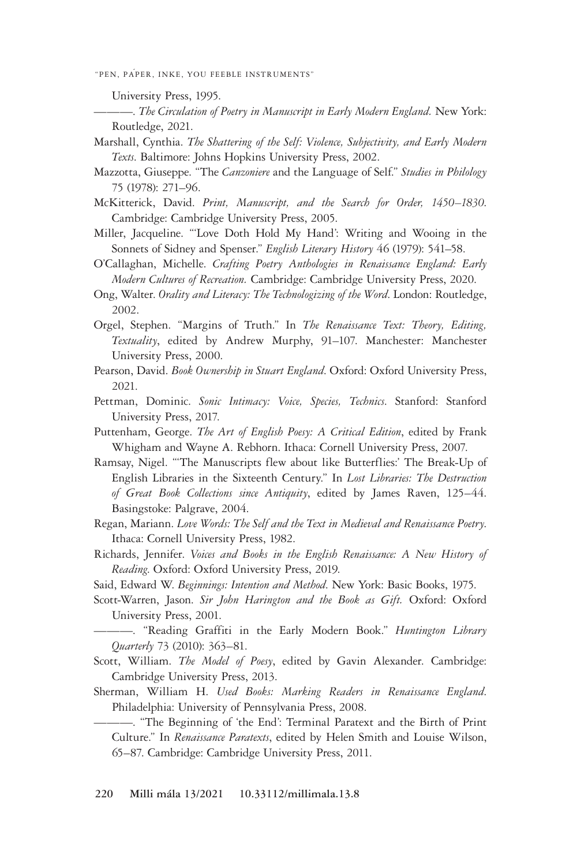———. *The Circulation of Poetry in Manuscript in Early Modern England.* New York: Routledge, 2021.

- Marshall, Cynthia. *The Shattering of the Self: Violence, Subjectivity, and Early Modern Texts*. Baltimore: Johns Hopkins University Press, 2002.
- Mazzotta, Giuseppe. "The *Canzoniere* and the Language of Self." *Studies in Philology*  75 (1978): 271–96.
- McKitterick, David. *Print, Manuscript, and the Search for Order, 1450–1830*. Cambridge: Cambridge University Press, 2005.
- Miller, Jacqueline. "'Love Doth Hold My Hand': Writing and Wooing in the Sonnets of Sidney and Spenser." *English Literary History* 46 (1979): 541–58.
- O'Callaghan, Michelle. *Crafting Poetry Anthologies in Renaissance England: Early Modern Cultures of Recreation.* Cambridge: Cambridge University Press, 2020.
- Ong, Walter. *Orality and Literacy: The Technologizing of the Word*. London: Routledge, 2002.
- Orgel, Stephen. "Margins of Truth." In *The Renaissance Text: Theory, Editing, Textuality*, edited by Andrew Murphy, 91–107. Manchester: Manchester University Press, 2000.
- Pearson, David. *Book Ownership in Stuart England*. Oxford: Oxford University Press, 2021.
- Pettman, Dominic. *Sonic Intimacy: Voice, Species, Technics*. Stanford: Stanford University Press, 2017.
- Puttenham, George. *The Art of English Poesy: A Critical Edition*, edited by Frank Whigham and Wayne A. Rebhorn. Ithaca: Cornell University Press, 2007.
- Ramsay, Nigel. "'The Manuscripts flew about like Butterflies:' The Break-Up of English Libraries in the Sixteenth Century." In *Lost Libraries: The Destruction of Great Book Collections since Antiquity*, edited by James Raven, 125–44. Basingstoke: Palgrave, 2004.
- Regan, Mariann. *Love Words: The Self and the Text in Medieval and Renaissance Poetry*. Ithaca: Cornell University Press, 1982.
- Richards, Jennifer. *Voices and Books in the English Renaissance: A New History of Reading*. Oxford: Oxford University Press, 2019.
- Said, Edward W. *Beginnings: Intention and Method*. New York: Basic Books, 1975.
- Scott-Warren, Jason. *Sir John Harington and the Book as Gift.* Oxford: Oxford University Press, 2001.
- ———. "Reading Graffiti in the Early Modern Book." *Huntington Library Quarterly* 73 (2010): 363–81.
- Scott, William. *The Model of Poesy*, edited by Gavin Alexander. Cambridge: Cambridge University Press, 2013.
- Sherman, William H. *Used Books: Marking Readers in Renaissance England*. Philadelphia: University of Pennsylvania Press, 2008.
	- ———. "The Beginning of 'the End': Terminal Paratext and the Birth of Print Culture." In *Renaissance Paratexts*, edited by Helen Smith and Louise Wilson, 65–87. Cambridge: Cambridge University Press, 2011.

University Press, 1995.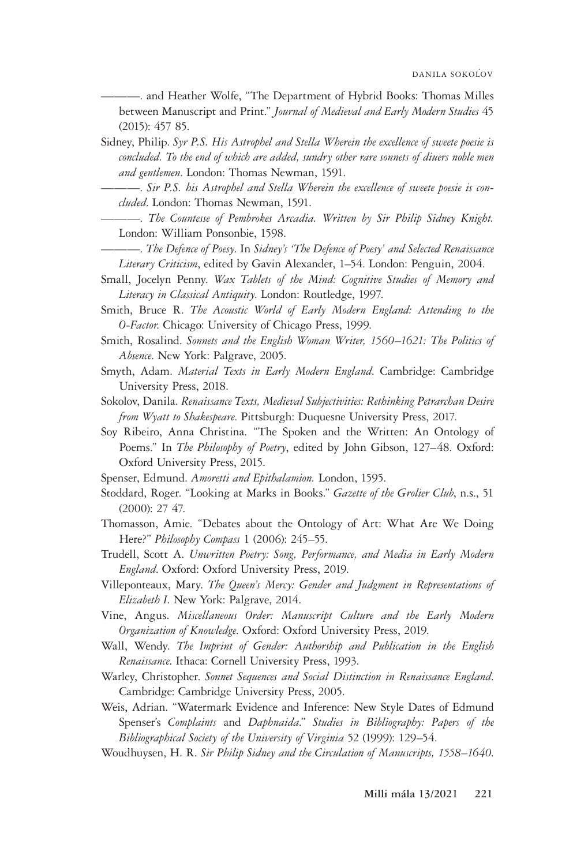———. and Heather Wolfe, "The Department of Hybrid Books: Thomas Milles between Manuscript and Print." *Journal of Medieval and Early Modern Studies* 45 (2015): 457 85.

- Sidney, Philip. *Syr P.S. His Astrophel and Stella Wherein the excellence of sweete poesie is concluded. To the end of which are added, sundry other rare sonnets of diuers noble men and gentlemen*. London: Thomas Newman, 1591.
	- ———. *Sir P.S. his Astrophel and Stella Wherein the excellence of sweete poesie is concluded*. London: Thomas Newman, 1591.
	- ———. *The Countesse of Pembrokes Arcadia. Written by Sir Philip Sidney Knight.* London: William Ponsonbie, 1598.
	- ———. *The Defence of Poesy*. In *Sidney's 'The Defence of Poesy' and Selected Renaissance Literary Criticism*, edited by Gavin Alexander, 1–54. London: Penguin, 2004.
- Small, Jocelyn Penny. *Wax Tablets of the Mind: Cognitive Studies of Memory and Literacy in Classical Antiquity*. London: Routledge, 1997.
- Smith, Bruce R. *The Acoustic World of Early Modern England: Attending to the O-Factor*. Chicago: University of Chicago Press, 1999.
- Smith, Rosalind. *Sonnets and the English Woman Writer, 1560–1621: The Politics of Absence*. New York: Palgrave, 2005.
- Smyth, Adam. *Material Texts in Early Modern England*. Cambridge: Cambridge University Press, 2018.
- Sokolov, Danila. *Renaissance Texts, Medieval Subjectivities: Rethinking Petrarchan Desire from Wyatt to Shakespeare*. Pittsburgh: Duquesne University Press, 2017.
- Soy Ribeiro, Anna Christina. "The Spoken and the Written: An Ontology of Poems." In *The Philosophy of Poetry*, edited by John Gibson, 127–48. Oxford: Oxford University Press, 2015.
- Spenser, Edmund. *Amoretti and Epithalamion.* London, 1595.
- Stoddard, Roger. "Looking at Marks in Books." *Gazette of the Grolier Club*, n.s., 51 (2000): 27 47.
- Thomasson, Amie. "Debates about the Ontology of Art: What Are We Doing Here?" *Philosophy Compass* 1 (2006): 245–55.
- Trudell, Scott A. *Unwritten Poetry: Song, Performance, and Media in Early Modern England*. Oxford: Oxford University Press, 2019.
- Villeponteaux, Mary. *The Queen's Mercy: Gender and Judgment in Representations of Elizabeth I*. New York: Palgrave, 2014.
- Vine, Angus. *Miscellaneous Order: Manuscript Culture and the Early Modern Organization of Knowledge*. Oxford: Oxford University Press, 2019.
- Wall, Wendy. *The Imprint of Gender: Authorship and Publication in the English Renaissance*. Ithaca: Cornell University Press, 1993.
- Warley, Christopher. *Sonnet Sequences and Social Distinction in Renaissance England*. Cambridge: Cambridge University Press, 2005.
- Weis, Adrian. "Watermark Evidence and Inference: New Style Dates of Edmund Spenser's *Complaints* and *Daphnaida*." *Studies in Bibliography: Papers of the Bibliographical Society of the University of Virginia* 52 (1999): 129–54.
- Woudhuysen, H. R. *Sir Philip Sidney and the Circulation of Manuscripts, 1558–1640*.